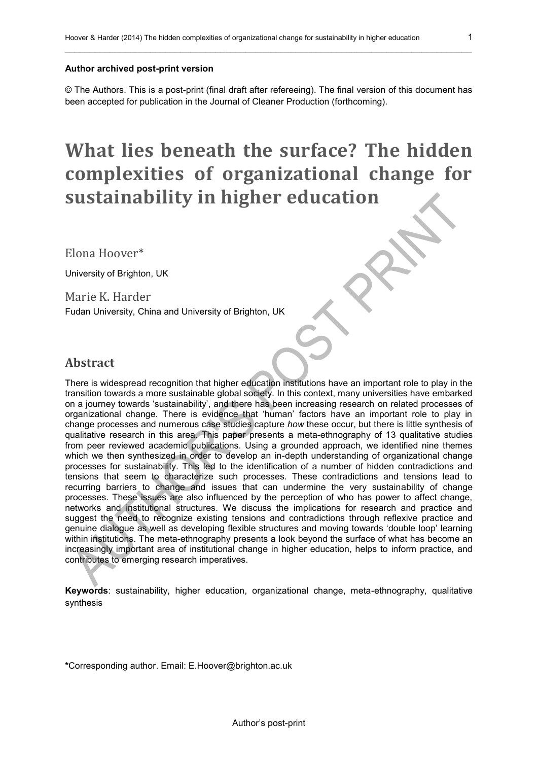#### **Author archived post-print version**

© The Authors. This is a post-print (final draft after refereeing). The final version of this document has been accepted for publication in the Journal of Cleaner Production (forthcoming).

*\_\_\_\_\_\_\_\_\_\_\_\_\_\_\_\_\_\_\_\_\_\_\_\_\_\_\_\_\_\_\_\_\_\_\_\_\_\_\_\_\_\_\_\_\_\_\_\_\_\_\_\_\_\_\_\_\_\_\_\_\_\_\_\_\_\_\_\_\_\_\_\_\_\_\_\_\_\_\_\_\_*

# **What lies beneath the surface? The hidden complexities of organizational change for sustainability in higher education**

Elona Hoover\*

University of Brighton, UK

Marie K. Harder Fudan University, China and University of Brighton, UK

## **Abstract**

There is widespread recognition that higher education institutions have an important role to play in the transition towards a more sustainable global society. In this context, many universities have embarked on a journey towards 'sustainability', and there has been increasing research on related processes of organizational change. There is evidence that 'human' factors have an important role to play in change processes and numerous case studies capture *how* these occur, but there is little synthesis of qualitative research in this area. This paper presents a meta-ethnography of 13 qualitative studies from peer reviewed academic publications. Using a grounded approach, we identified nine themes which we then synthesized in order to develop an in-depth understanding of organizational change processes for sustainability. This led to the identification of a number of hidden contradictions and tensions that seem to characterize such processes. These contradictions and tensions lead to recurring barriers to change and issues that can undermine the very sustainability of change processes. These issues are also influenced by the perception of who has power to affect change, networks and institutional structures. We discuss the implications for research and practice and suggest the need to recognize existing tensions and contradictions through reflexive practice and genuine dialogue as well as developing flexible structures and moving towards 'double loop' learning within institutions. The meta-ethnography presents a look beyond the surface of what has become an increasingly important area of institutional change in higher education, helps to inform practice, and contributes to emerging research imperatives.

**Keywords**: sustainability, higher education, organizational change, meta-ethnography, qualitative synthesis

**\***Corresponding author. Email: E.Hoover@brighton.ac.uk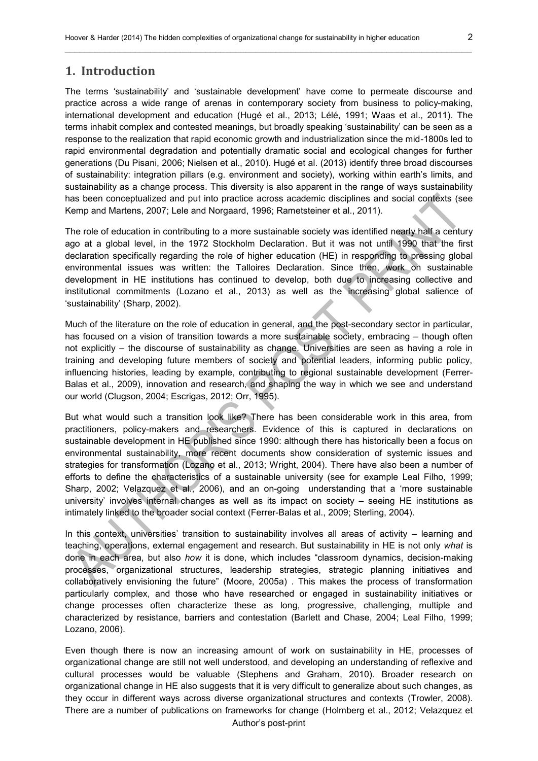## **1. Introduction**

The terms 'sustainability' and 'sustainable development' have come to permeate discourse and practice across a wide range of arenas in contemporary society from business to policy-making, international development and education [\(Hugé et al., 2013;](#page-22-0) [Lélé, 1991;](#page-23-0) [Waas et al., 2011\)](#page-24-0). The terms inhabit complex and contested meanings, but broadly speaking 'sustainability' can be seen as a response to the realization that rapid economic growth and industrialization since the mid-1800s led to rapid environmental degradation and potentially dramatic social and ecological changes for further generations [\(Du Pisani, 2006;](#page-22-1) [Nielsen et al., 2010\)](#page-23-1). Hugé et al. [\(2013\)](#page-22-0) identify three broad discourses of sustainability: integration pillars (e.g. environment and society), working within earth's limits, and sustainability as a change process. This diversity is also apparent in the range of ways sustainability has been conceptualized and put into practice across academic disciplines and social contexts (see [Kemp and Martens, 2007;](#page-22-2) [Lele and Norgaard, 1996;](#page-23-2) [Rametsteiner et al., 2011\)](#page-23-3).

*\_\_\_\_\_\_\_\_\_\_\_\_\_\_\_\_\_\_\_\_\_\_\_\_\_\_\_\_\_\_\_\_\_\_\_\_\_\_\_\_\_\_\_\_\_\_\_\_\_\_\_\_\_\_\_\_\_\_\_\_\_\_\_\_\_\_\_\_\_\_\_\_\_\_\_\_\_\_\_\_\_*

The role of education in contributing to a more sustainable society was identified nearly half a century ago at a global level, in the 1972 Stockholm Declaration. But it was not until 1990 that the first declaration specifically regarding the role of higher education (HE) in responding to pressing global environmental issues was written: the Talloires Declaration. Since then, work on sustainable development in HE institutions has continued to develop, both due to increasing collective and institutional commitments [\(Lozano et al., 2013\)](#page-23-4) as well as the increasing global salience of 'sustainability' [\(Sharp, 2002\)](#page-23-5).

Much of the literature on the role of education in general, and the post-secondary sector in particular, has focused on a vision of transition towards a more sustainable society, embracing – though often not explicitly – the discourse of sustainability as change. Universities are seen as having a role in training and developing future members of society and potential leaders, informing public policy, influencing histories, leading by example, contributing to regional sustainable development [\(Ferrer-](#page-22-3)[Balas et al., 2009\)](#page-22-3), innovation and research, and shaping the way in which we see and understand our world [\(Clugson, 2004;](#page-22-4) [Escrigas, 2012;](#page-22-5) [Orr, 1995\)](#page-23-6).

But what would such a transition look like? There has been considerable work in this area, from practitioners, policy-makers and researchers. Evidence of this is captured in declarations on sustainable development in HE published since 1990: although there has historically been a focus on environmental sustainability, more recent documents show consideration of systemic issues and strategies for transformation [\(Lozano et al., 2013;](#page-23-4) [Wright, 2004\)](#page-24-1). There have also been a number of efforts to define the characteristics of a sustainable university (see for example [Leal Filho, 1999;](#page-23-7) [Sharp, 2002;](#page-23-5) [Velazquez et al., 2006\)](#page-24-2), and an on-going understanding that a 'more sustainable university' involves internal changes as well as its impact on society – seeing HE institutions as intimately linked to the broader social context [\(Ferrer-Balas et al., 2009;](#page-22-3) [Sterling, 2004\)](#page-24-3).

In this context, universities' transition to sustainability involves all areas of activity – learning and teaching, operations, external engagement and research. But sustainability in HE is not only *what* is done in each area, but also *how* it is done, which includes "classroom dynamics, decision-making processes, organizational structures, leadership strategies, strategic planning initiatives and collaboratively envisioning the future" [\(Moore, 2005a\)](#page-23-8) . This makes the process of transformation particularly complex, and those who have researched or engaged in sustainability initiatives or change processes often characterize these as long, progressive, challenging, multiple and characterized by resistance, barriers and contestation [\(Barlett and Chase, 2004;](#page-21-0) [Leal Filho, 1999;](#page-23-7) [Lozano, 2006\)](#page-23-9).

Author's post-print Even though there is now an increasing amount of work on sustainability in HE, processes of organizational change are still not well understood, and developing an understanding of reflexive and cultural processes would be valuable [\(Stephens and Graham, 2010\)](#page-24-4). Broader research on organizational change in HE also suggests that it is very difficult to generalize about such changes, as they occur in different ways across diverse organizational structures and contexts [\(Trowler, 2008\)](#page-24-5). There are a number of publications on frameworks for change [\(Holmberg et al., 2012;](#page-22-6) [Velazquez et](#page-24-2)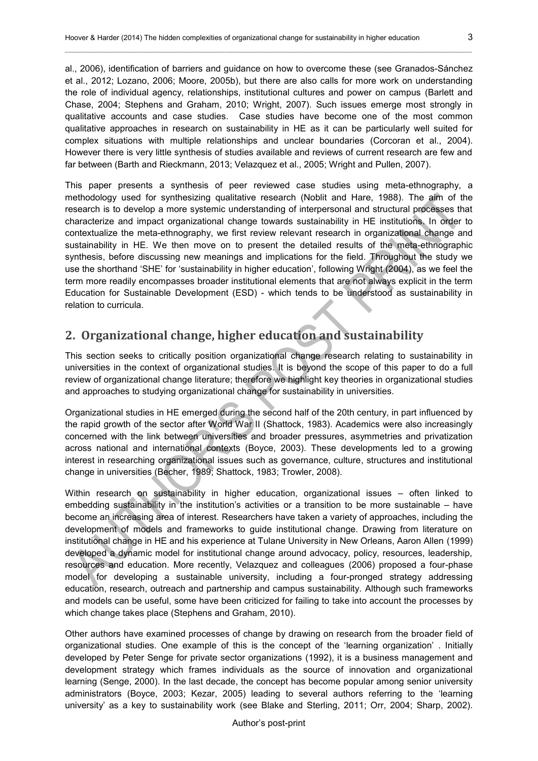[al., 2006\)](#page-24-2), identification of barriers and guidance on how to overcome these (see [Granados-Sánchez](#page-22-7)  [et al., 2012;](#page-22-7) [Lozano, 2006;](#page-23-9) [Moore, 2005b\)](#page-23-10), but there are also calls for more work on understanding the role of individual agency, relationships, institutional cultures and power on campus [\(Barlett and](#page-21-0)  [Chase, 2004;](#page-21-0) [Stephens and Graham, 2010;](#page-24-4) [Wright, 2007\)](#page-24-6). Such issues emerge most strongly in qualitative accounts and case studies. Case studies have become one of the most common qualitative approaches in research on sustainability in HE as it can be particularly well suited for complex situations with multiple relationships and unclear boundaries [\(Corcoran et al., 2004\)](#page-22-8). However there is very little synthesis of studies available and reviews of current research are few and far between [\(Barth and Rieckmann, 2013;](#page-22-9) [Velazquez et al., 2005;](#page-24-7) [Wright and Pullen, 2007\)](#page-24-8).

This paper presents a synthesis of peer reviewed case studies using meta-ethnography, a methodology used for synthesizing qualitative research [\(Noblit and Hare, 1988\)](#page-23-11). The aim of the research is to develop a more systemic understanding of interpersonal and structural processes that characterize and impact organizational change towards sustainability in HE institutions. In order to contextualize the meta-ethnography, we first review relevant research in organizational change and sustainability in HE. We then move on to present the detailed results of the meta-ethnographic synthesis, before discussing new meanings and implications for the field. Throughout the study we use the shorthand 'SHE' for 'sustainability in higher education', following Wright [\(2004\)](#page-24-1), as we feel the term more readily encompasses broader institutional elements that are not always explicit in the term Education for Sustainable Development (ESD) - which tends to be understood as sustainability in relation to curricula.

# **2. Organizational change, higher education and sustainability**

This section seeks to critically position organizational change research relating to sustainability in universities in the context of organizational studies. It is beyond the scope of this paper to do a full review of organizational change literature; therefore we highlight key theories in organizational studies and approaches to studying organizational change for sustainability in universities.

Organizational studies in HE emerged during the second half of the 20th century, in part influenced by the rapid growth of the sector after World War II [\(Shattock, 1983\)](#page-23-12). Academics were also increasingly concerned with the link between universities and broader pressures, asymmetries and privatization across national and international contexts [\(Boyce, 2003\)](#page-22-10). These developments led to a growing interest in researching organizational issues such as governance, culture, structures and institutional change in universities [\(Becher, 1989;](#page-22-11) [Shattock, 1983;](#page-23-12) [Trowler, 2008\)](#page-24-5).

Within research on sustainability in higher education, organizational issues – often linked to embedding sustainability in the institution's activities or a transition to be more sustainable – have become an increasing area of interest. Researchers have taken a variety of approaches, including the development of models and frameworks to guide institutional change. Drawing from literature on institutional change in HE and his experience at Tulane University in New Orleans, Aaron Allen [\(1999\)](#page-21-1) developed a dynamic model for institutional change around advocacy, policy, resources, leadership, resources and education. More recently, Velazquez and colleagues [\(2006\)](#page-24-2) proposed a four-phase model for developing a sustainable university, including a four-pronged strategy addressing education, research, outreach and partnership and campus sustainability. Although such frameworks and models can be useful, some have been criticized for failing to take into account the processes by which change takes place [\(Stephens and Graham, 2010\)](#page-24-4).

Other authors have examined processes of change by drawing on research from the broader field of organizational studies. One example of this is the concept of the 'learning organization' . Initially developed by Peter Senge for private sector organizations [\(1992\)](#page-23-13), it is a business management and development strategy which frames individuals as the source of innovation and organizational learning [\(Senge, 2000\)](#page-23-14). In the last decade, the concept has become popular among senior university administrators [\(Boyce, 2003;](#page-22-10) [Kezar, 2005\)](#page-23-15) leading to several authors referring to the 'learning university' as a key to sustainability work (see [Blake and Sterling, 2011;](#page-22-12) [Orr, 2004;](#page-23-16) [Sharp, 2002\)](#page-23-5).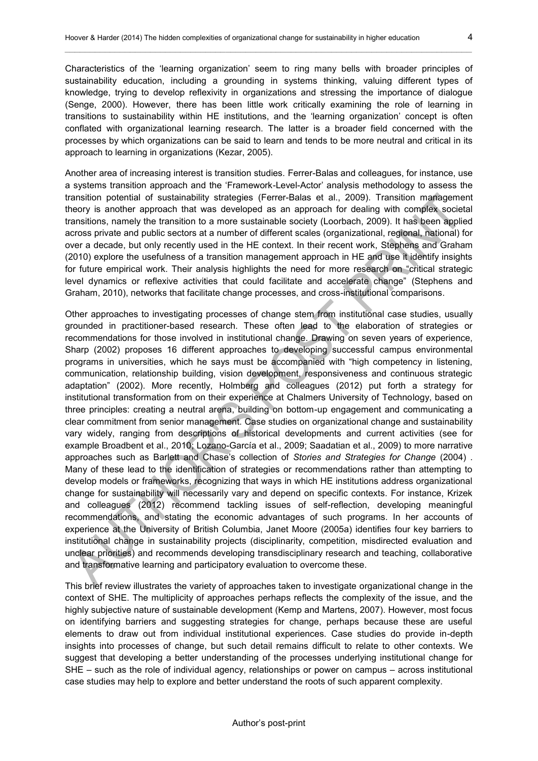Characteristics of the 'learning organization' seem to ring many bells with broader principles of sustainability education, including a grounding in systems thinking, valuing different types of knowledge, trying to develop reflexivity in organizations and stressing the importance of dialogue [\(Senge, 2000\)](#page-23-14). However, there has been little work critically examining the role of learning in transitions to sustainability within HE institutions, and the 'learning organization' concept is often conflated with organizational learning research. The latter is a broader field concerned with the processes by which organizations can be said to learn and tends to be more neutral and critical in its approach to learning in organizations [\(Kezar, 2005\)](#page-23-15).

*\_\_\_\_\_\_\_\_\_\_\_\_\_\_\_\_\_\_\_\_\_\_\_\_\_\_\_\_\_\_\_\_\_\_\_\_\_\_\_\_\_\_\_\_\_\_\_\_\_\_\_\_\_\_\_\_\_\_\_\_\_\_\_\_\_\_\_\_\_\_\_\_\_\_\_\_\_\_\_\_\_*

Another area of increasing interest is transition studies. Ferrer-Balas and colleagues, for instance, use a systems transition approach and the 'Framework-Level-Actor' analysis methodology to assess the transition potential of sustainability strategies [\(Ferrer-Balas et al., 2009\)](#page-22-3). Transition management theory is another approach that was developed as an approach for dealing with complex societal transitions, namely the transition to a more sustainable society [\(Loorbach, 2009\)](#page-23-17). It has been applied across private and public sectors at a number of different scales (organizational, regional, national) for over a decade, but only recently used in the HE context. In their recent work, Stephens and Graham [\(2010\)](#page-24-4) explore the usefulness of a transition management approach in HE and use it identify insights for future empirical work. Their analysis highlights the need for more research on "critical strategic level dynamics or reflexive activities that could facilitate and accelerate change" [\(Stephens and](#page-24-4)  [Graham, 2010\)](#page-24-4), networks that facilitate change processes, and cross-institutional comparisons.

Other approaches to investigating processes of change stem from institutional case studies, usually grounded in practitioner-based research. These often lead to the elaboration of strategies or recommendations for those involved in institutional change. Drawing on seven years of experience, Sharp [\(2002\)](#page-23-5) proposes 16 different approaches to developing successful campus environmental programs in universities, which he says must be accompanied with "high competency in listening, communication, relationship building, vision development, responsiveness and continuous strategic adaptation" [\(2002\)](#page-23-5). More recently, Holmberg and colleagues [\(2012\)](#page-22-6) put forth a strategy for institutional transformation from on their experience at Chalmers University of Technology, based on three principles: creating a neutral arena, building on bottom-up engagement and communicating a clear commitment from senior management. Case studies on organizational change and sustainability vary widely, ranging from descriptions of historical developments and current activities (see for example [Broadbent et al., 2010;](#page-22-13) [Lozano-García et](#page-23-18) al., 2009; [Saadatian et al., 2009\)](#page-23-19) to more narrative approaches such as Barlett and Chase's collection of *Stories and Strategies for Change* [\(2004\)](#page-21-0) . Many of these lead to the identification of strategies or recommendations rather than attempting to develop models or frameworks, recognizing that ways in which HE institutions address organizational change for sustainability will necessarily vary and depend on specific contexts. For instance, Krizek and colleagues [\(2012\)](#page-23-20) recommend tackling issues of self-reflection, developing meaningful recommendations, and stating the economic advantages of such programs. In her accounts of experience at the University of British Columbia, Janet Moore [\(2005a\)](#page-23-8) identifies four key barriers to institutional change in sustainability projects (disciplinarity, competition, misdirected evaluation and unclear priorities) and recommends developing transdisciplinary research and teaching, collaborative and transformative learning and participatory evaluation to overcome these.

This brief review illustrates the variety of approaches taken to investigate organizational change in the context of SHE. The multiplicity of approaches perhaps reflects the complexity of the issue, and the highly subjective nature of sustainable development [\(Kemp and Martens, 2007\)](#page-22-2). However, most focus on identifying barriers and suggesting strategies for change, perhaps because these are useful elements to draw out from individual institutional experiences. Case studies do provide in-depth insights into processes of change, but such detail remains difficult to relate to other contexts. We suggest that developing a better understanding of the processes underlying institutional change for SHE – such as the role of individual agency, relationships or power on campus – across institutional case studies may help to explore and better understand the roots of such apparent complexity.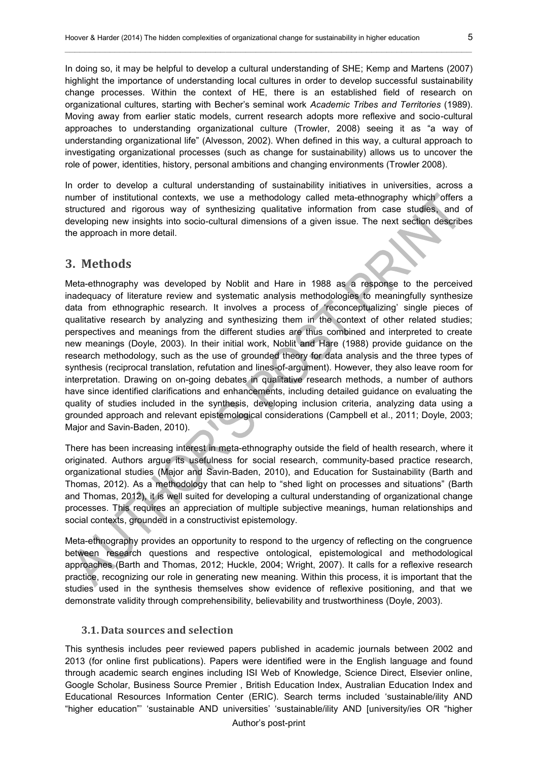In doing so, it may be helpful to develop a cultural understanding of SHE; Kemp and Martens [\(2007\)](#page-22-2) highlight the importance of understanding local cultures in order to develop successful sustainability change processes. Within the context of HE, there is an established field of research on organizational cultures, starting with Becher's seminal work *Academic Tribes and Territories* [\(1989\)](#page-22-11). Moving away from earlier static models, current research adopts more reflexive and socio-cultural approaches to understanding organizational culture [\(Trowler, 2008\)](#page-24-5) seeing it as "a way of understanding organizational life" [\(Alvesson, 2002\)](#page-21-2). When defined in this way, a cultural approach to investigating organizational processes (such as change for sustainability) allows us to uncover the role of power, identities, history, personal ambitions and changing environments (Trowler 2008).

*\_\_\_\_\_\_\_\_\_\_\_\_\_\_\_\_\_\_\_\_\_\_\_\_\_\_\_\_\_\_\_\_\_\_\_\_\_\_\_\_\_\_\_\_\_\_\_\_\_\_\_\_\_\_\_\_\_\_\_\_\_\_\_\_\_\_\_\_\_\_\_\_\_\_\_\_\_\_\_\_\_*

In order to develop a cultural understanding of sustainability initiatives in universities, across a number of institutional contexts, we use a methodology called meta-ethnography which offers a structured and rigorous way of synthesizing qualitative information from case studies, and of developing new insights into socio-cultural dimensions of a given issue. The next section describes the approach in more detail.

## **3. Methods**

Meta-ethnography was developed by Noblit and Hare in 1988 as a response to the perceived inadequacy of literature review and systematic analysis methodologies to meaningfully synthesize data from ethnographic research. It involves a process of 'reconceptualizing' single pieces of qualitative research by analyzing and synthesizing them in the context of other related studies; perspectives and meanings from the different studies are thus combined and interpreted to create new meanings [\(Doyle, 2003\)](#page-22-14). In their initial work, Noblit and Hare [\(1988\)](#page-23-11) provide guidance on the research methodology, such as the use of grounded theory for data analysis and the three types of synthesis (reciprocal translation, refutation and lines-of-argument). However, they also leave room for interpretation. Drawing on on-going debates in qualitative research methods, a number of authors have since identified clarifications and enhancements, including detailed guidance on evaluating the quality of studies included in the synthesis, developing inclusion criteria, analyzing data using a grounded approach and relevant epistemological considerations [\(Campbell et al., 2011;](#page-22-15) [Doyle, 2003;](#page-22-14) [Major and Savin-Baden, 2010\)](#page-23-21).

There has been increasing interest in meta-ethnography outside the field of health research, where it originated. Authors argue its usefulness for social research, community-based practice research, organizational studies [\(Major and Savin-Baden, 2010\)](#page-23-21), and Education for Sustainability [\(Barth and](#page-22-16)  [Thomas, 2012\)](#page-22-16). As a methodology that can help to "shed light on processes and situations" [\(Barth](#page-22-16)  [and Thomas, 2012\)](#page-22-16), it is well suited for developing a cultural understanding of organizational change processes. This requires an appreciation of multiple subjective meanings, human relationships and social contexts, grounded in a constructivist epistemology.

Meta-ethnography provides an opportunity to respond to the urgency of reflecting on the congruence between research questions and respective ontological, epistemological and methodological approaches [\(Barth and Thomas, 2012;](#page-22-16) [Huckle, 2004;](#page-22-17) [Wright, 2007\)](#page-24-6). It calls for a reflexive research practice, recognizing our role in generating new meaning. Within this process, it is important that the studies used in the synthesis themselves show evidence of reflexive positioning, and that we demonstrate validity through comprehensibility, believability and trustworthiness [\(Doyle, 2003\)](#page-22-14).

#### **3.1. Data sources and selection**

This synthesis includes peer reviewed papers published in academic journals between 2002 and 2013 (for online first publications). Papers were identified were in the English language and found through academic search engines including ISI Web of Knowledge, Science Direct, Elsevier online, Google Scholar, Business Source Premier , British Education Index, Australian Education Index and Educational Resources Information Center (ERIC). Search terms included 'sustainable/ility AND "higher education"' 'sustainable AND universities' 'sustainable/ility AND [university/ies OR "higher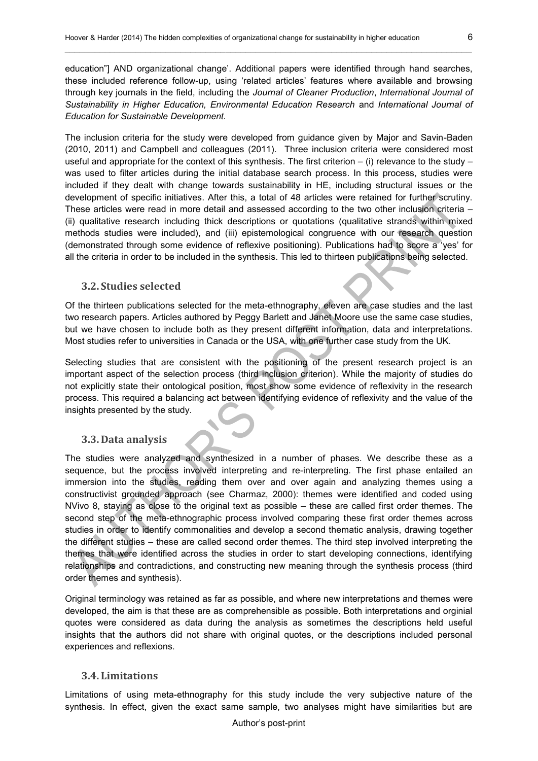education"] AND organizational change'. Additional papers were identified through hand searches, these included reference follow-up, using 'related articles' features where available and browsing through key journals in the field, including the *Journal of Cleaner Production*, *International Journal of Sustainability in Higher Education, Environmental Education Research* and *International Journal of Education for Sustainable Development.*

*\_\_\_\_\_\_\_\_\_\_\_\_\_\_\_\_\_\_\_\_\_\_\_\_\_\_\_\_\_\_\_\_\_\_\_\_\_\_\_\_\_\_\_\_\_\_\_\_\_\_\_\_\_\_\_\_\_\_\_\_\_\_\_\_\_\_\_\_\_\_\_\_\_\_\_\_\_\_\_\_\_*

The inclusion criteria for the study were developed from guidance given by Major and Savin-Baden (2010, 2011) and Campbell and colleagues [\(2011\)](#page-22-15). Three inclusion criteria were considered most useful and appropriate for the context of this synthesis. The first criterion  $-$  (i) relevance to the study  $$ was used to filter articles during the initial database search process. In this process, studies were included if they dealt with change towards sustainability in HE, including structural issues or the development of specific initiatives. After this, a total of 48 articles were retained for further scrutiny. These articles were read in more detail and assessed according to the two other inclusion criteria – (ii) qualitative research including thick descriptions or quotations (qualitative strands within mixed methods studies were included), and (iii) epistemological congruence with our research question (demonstrated through some evidence of reflexive positioning). Publications had to score a 'yes' for all the criteria in order to be included in the synthesis. This led to thirteen publications being selected.

#### **3.2. Studies selected**

Of the thirteen publications selected for the meta-ethnography, eleven are case studies and the last two research papers. Articles authored by Peggy Barlett and Janet Moore use the same case studies, but we have chosen to include both as they present different information, data and interpretations. Most studies refer to universities in Canada or the USA, with one further case study from the UK.

Selecting studies that are consistent with the positioning of the present research project is an important aspect of the selection process (third inclusion criterion). While the majority of studies do not explicitly state their ontological position, most show some evidence of reflexivity in the research process. This required a balancing act between identifying evidence of reflexivity and the value of the insights presented by the study.

#### **3.3. Data analysis**

The studies were analyzed and synthesized in a number of phases. We describe these as a sequence, but the process involved interpreting and re-interpreting. The first phase entailed an immersion into the studies, reading them over and over again and analyzing themes using a constructivist grounded approach [\(see Charmaz, 2000\)](#page-22-18): themes were identified and coded using NVivo 8, staying as close to the original text as possible – these are called first order themes. The second step of the meta-ethnographic process involved comparing these first order themes across studies in order to identify commonalities and develop a second thematic analysis, drawing together the different studies – these are called second order themes. The third step involved interpreting the themes that were identified across the studies in order to start developing connections, identifying relationships and contradictions, and constructing new meaning through the synthesis process (third order themes and synthesis).

Original terminology was retained as far as possible, and where new interpretations and themes were developed, the aim is that these are as comprehensible as possible. Both interpretations and orginial quotes were considered as data during the analysis as sometimes the descriptions held useful insights that the authors did not share with original quotes, or the descriptions included personal experiences and reflexions.

#### **3.4. Limitations**

Limitations of using meta-ethnography for this study include the very subjective nature of the synthesis. In effect, given the exact same sample, two analyses might have similarities but are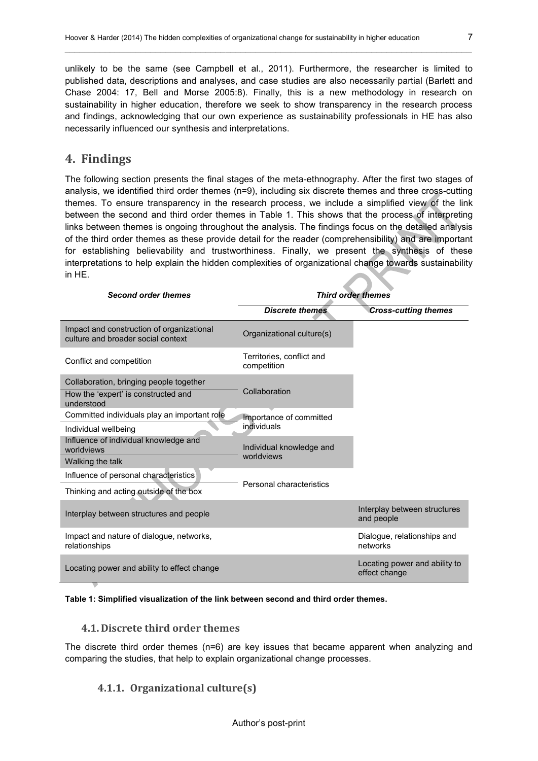unlikely to be the same [\(see Campbell et al., 2011\)](#page-22-15). Furthermore, the researcher is limited to published data, descriptions and analyses, and case studies are also necessarily partial (Barlett and Chase 2004: 17, Bell and Morse 2005:8). Finally, this is a new methodology in research on sustainability in higher education, therefore we seek to show transparency in the research process and findings, acknowledging that our own experience as sustainability professionals in HE has also necessarily influenced our synthesis and interpretations.

*\_\_\_\_\_\_\_\_\_\_\_\_\_\_\_\_\_\_\_\_\_\_\_\_\_\_\_\_\_\_\_\_\_\_\_\_\_\_\_\_\_\_\_\_\_\_\_\_\_\_\_\_\_\_\_\_\_\_\_\_\_\_\_\_\_\_\_\_\_\_\_\_\_\_\_\_\_\_\_\_\_*

# **4. Findings**

The following section presents the final stages of the meta-ethnography. After the first two stages of analysis, we identified third order themes (n=9), including six discrete themes and three cross-cutting themes. To ensure transparency in the research process, we include a simplified view of the link between the second and third order themes in Table 1. This shows that the process of interpreting links between themes is ongoing throughout the analysis. The findings focus on the detailed analysis of the third order themes as these provide detail for the reader (comprehensibility) and are important for establishing believability and trustworthiness. Finally, we present the synthesis of these interpretations to help explain the hidden complexities of organizational change towards sustainability in HE.

| <b>Second order themes</b>                                                      | <b>Third order themes</b>                |                                                |
|---------------------------------------------------------------------------------|------------------------------------------|------------------------------------------------|
|                                                                                 | <b>Discrete themes</b>                   | <b>Cross-cutting themes</b>                    |
| Impact and construction of organizational<br>culture and broader social context | Organizational culture(s)                |                                                |
| Conflict and competition                                                        | Territories, conflict and<br>competition |                                                |
| Collaboration, bringing people together                                         |                                          |                                                |
| How the 'expert' is constructed and<br>understood                               | Collaboration                            |                                                |
| Committed individuals play an important role                                    | Importance of committed<br>individuals   |                                                |
| Individual wellbeing                                                            |                                          |                                                |
| Influence of individual knowledge and<br>worldviews                             | Individual knowledge and<br>worldviews   |                                                |
| Walking the talk                                                                |                                          |                                                |
| Influence of personal characteristics                                           |                                          |                                                |
| Thinking and acting outside of the box                                          | Personal characteristics                 |                                                |
| Interplay between structures and people                                         |                                          | Interplay between structures<br>and people     |
| Impact and nature of dialogue, networks,<br>relationships                       |                                          | Dialogue, relationships and<br>networks        |
| Locating power and ability to effect change                                     |                                          | Locating power and ability to<br>effect change |

#### **Table 1: Simplified visualization of the link between second and third order themes.**

## **4.1. Discrete third order themes**

The discrete third order themes ( $n=6$ ) are key issues that became apparent when analyzing and comparing the studies, that help to explain organizational change processes.

## **4.1.1. Organizational culture(s)**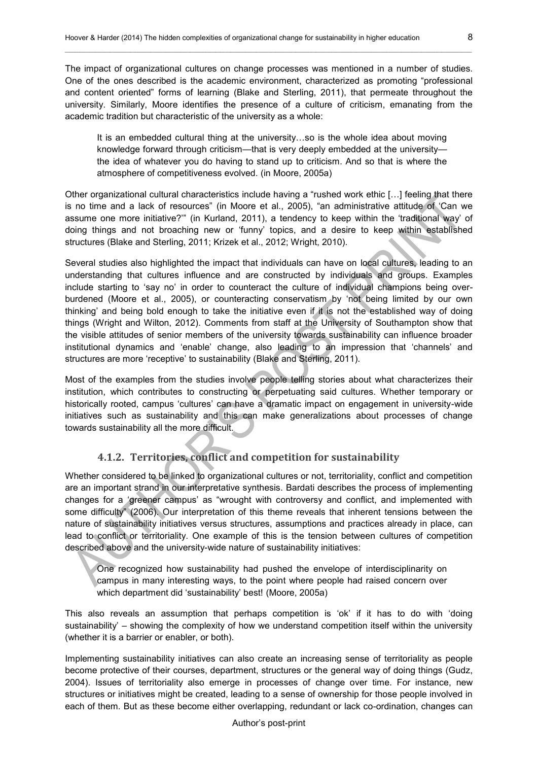The impact of organizational cultures on change processes was mentioned in a number of studies. One of the ones described is the academic environment, characterized as promoting "professional and content oriented" forms of learning [\(Blake and Sterling, 2011\)](#page-22-12), that permeate throughout the university. Similarly, Moore identifies the presence of a culture of criticism, emanating from the academic tradition but characteristic of the university as a whole:

*\_\_\_\_\_\_\_\_\_\_\_\_\_\_\_\_\_\_\_\_\_\_\_\_\_\_\_\_\_\_\_\_\_\_\_\_\_\_\_\_\_\_\_\_\_\_\_\_\_\_\_\_\_\_\_\_\_\_\_\_\_\_\_\_\_\_\_\_\_\_\_\_\_\_\_\_\_\_\_\_\_*

It is an embedded cultural thing at the university…so is the whole idea about moving knowledge forward through criticism—that is very deeply embedded at the university the idea of whatever you do having to stand up to criticism. And so that is where the atmosphere of competitiveness evolved. [\(in Moore, 2005a\)](#page-23-8)

Other organizational cultural characteristics include having a "rushed work ethic […] feeling that there is no time and a lack of resources" [\(in Moore et al., 2005\)](#page-23-22), "an administrative attitude of 'Can we assume one more initiative?'" [\(in Kurland, 2011\)](#page-23-23), a tendency to keep within the 'traditional way' of doing things and not broaching new or 'funny' topics, and a desire to keep within established structures [\(Blake and Sterling, 2011;](#page-22-12) [Krizek et al., 2012;](#page-23-20) [Wright, 2010\)](#page-24-9).

Several studies also highlighted the impact that individuals can have on local cultures, leading to an understanding that cultures influence and are constructed by individuals and groups. Examples include starting to 'say no' in order to counteract the culture of individual champions being overburdened [\(Moore et al., 2005\)](#page-23-22), or counteracting conservatism by 'not being limited by our own thinking' and being bold enough to take the initiative even if it is not the established way of doing things [\(Wright and Wilton, 2012\)](#page-24-10). Comments from staff at the University of Southampton show that the visible attitudes of senior members of the university towards sustainability can influence broader institutional dynamics and 'enable' change, also leading to an impression that 'channels' and structures are more 'receptive' to sustainability [\(Blake and Sterling, 2011\)](#page-22-12).

Most of the examples from the studies involve people telling stories about what characterizes their institution, which contributes to constructing or perpetuating said cultures. Whether temporary or historically rooted, campus 'cultures' can have a dramatic impact on engagement in university-wide initiatives such as sustainability and this can make generalizations about processes of change towards sustainability all the more difficult.

## **4.1.2. Territories, conflict and competition for sustainability**

Whether considered to be linked to organizational cultures or not, territoriality, conflict and competition are an important strand in our interpretative synthesis. Bardati describes the process of implementing changes for a 'greener campus' as "wrought with controversy and conflict, and implemented with some difficulty" [\(2006\)](#page-21-3). Our interpretation of this theme reveals that inherent tensions between the nature of sustainability initiatives versus structures, assumptions and practices already in place, can lead to conflict or territoriality. One example of this is the tension between cultures of competition described above and the university-wide nature of sustainability initiatives:

One recognized how sustainability had pushed the envelope of interdisciplinarity on campus in many interesting ways, to the point where people had raised concern over which department did 'sustainability' best! [\(Moore, 2005a\)](#page-23-8)

This also reveals an assumption that perhaps competition is 'ok' if it has to do with 'doing sustainability' – showing the complexity of how we understand competition itself within the university (whether it is a barrier or enabler, or both).

Implementing sustainability initiatives can also create an increasing sense of territoriality as people become protective of their courses, department, structures or the general way of doing things [\(Gudz,](#page-22-19)  [2004\)](#page-22-19). Issues of territoriality also emerge in processes of change over time. For instance, new structures or initiatives might be created, leading to a sense of ownership for those people involved in each of them. But as these become either overlapping, redundant or lack co-ordination, changes can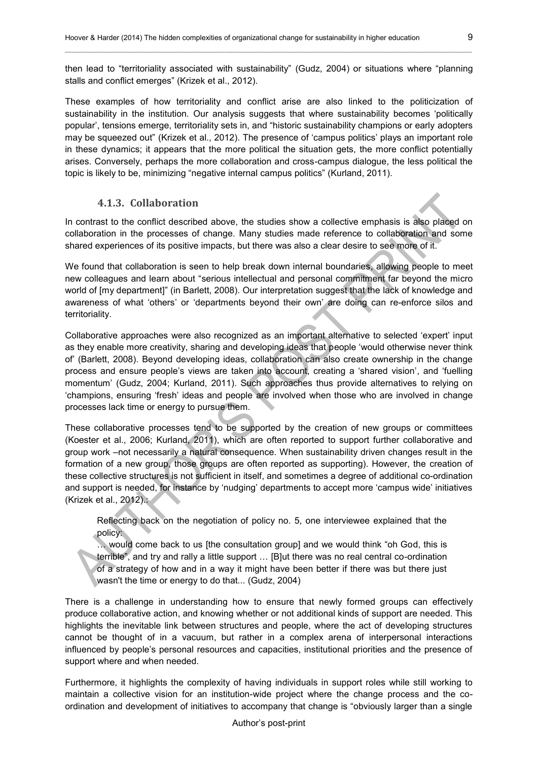then lead to "territoriality associated with sustainability" [\(Gudz, 2004\)](#page-22-19) or situations where "planning stalls and conflict emerges" [\(Krizek et al., 2012\)](#page-23-20).

*\_\_\_\_\_\_\_\_\_\_\_\_\_\_\_\_\_\_\_\_\_\_\_\_\_\_\_\_\_\_\_\_\_\_\_\_\_\_\_\_\_\_\_\_\_\_\_\_\_\_\_\_\_\_\_\_\_\_\_\_\_\_\_\_\_\_\_\_\_\_\_\_\_\_\_\_\_\_\_\_\_*

These examples of how territoriality and conflict arise are also linked to the politicization of sustainability in the institution. Our analysis suggests that where sustainability becomes 'politically popular', tensions emerge, territoriality sets in, and "historic sustainability champions or early adopters may be squeezed out" [\(Krizek et al., 2012\)](#page-23-20). The presence of 'campus politics' plays an important role in these dynamics; it appears that the more political the situation gets, the more conflict potentially arises. Conversely, perhaps the more collaboration and cross-campus dialogue, the less political the topic is likely to be, minimizing "negative internal campus politics" [\(Kurland, 2011\)](#page-23-23).

#### **4.1.3. Collaboration**

In contrast to the conflict described above, the studies show a collective emphasis is also placed on collaboration in the processes of change. Many studies made reference to collaboration and some shared experiences of its positive impacts, but there was also a clear desire to see more of it.

We found that collaboration is seen to help break down internal boundaries, allowing people to meet new colleagues and learn about "serious intellectual and personal commitment far beyond the micro world of [my department]" (in [Barlett, 2008\)](#page-21-4). Our interpretation suggest that the lack of knowledge and awareness of what 'others' or 'departments beyond their own' are doing can re-enforce silos and territoriality.

Collaborative approaches were also recognized as an important alternative to selected 'expert' input as they enable more creativity, sharing and developing ideas that people 'would otherwise never think of' [\(Barlett, 2008\)](#page-21-4). Beyond developing ideas, collaboration can also create ownership in the change process and ensure people's views are taken into account, creating a 'shared vision', and 'fuelling momentum' [\(Gudz, 2004;](#page-22-19) [Kurland, 2011\)](#page-23-23). Such approaches thus provide alternatives to relying on 'champions, ensuring 'fresh' ideas and people are involved when those who are involved in change processes lack time or energy to pursue them.

These collaborative processes tend to be supported by the creation of new groups or committees [\(Koester et al., 2006;](#page-23-24) [Kurland, 2011\)](#page-23-23), which are often reported to support further collaborative and group work –not necessarily a natural consequence. When sustainability driven changes result in the formation of a new group, those groups are often reported as supporting). However, the creation of these collective structures is not sufficient in itself, and sometimes a degree of additional co-ordination and support is needed, for instance by 'nudging' departments to accept more 'campus wide' initiatives [\(Krizek et al., 2012\)](#page-23-20).:

Reflecting back on the negotiation of policy no. 5, one interviewee explained that the policy:

… would come back to us [the consultation group] and we would think "oh God, this is terrible", and try and rally a little support … [B]ut there was no real central co-ordination of a strategy of how and in a way it might have been better if there was but there just wasn't the time or energy to do that... [\(Gudz, 2004\)](#page-22-19)

There is a challenge in understanding how to ensure that newly formed groups can effectively produce collaborative action, and knowing whether or not additional kinds of support are needed. This highlights the inevitable link between structures and people, where the act of developing structures cannot be thought of in a vacuum, but rather in a complex arena of interpersonal interactions influenced by people's personal resources and capacities, institutional priorities and the presence of support where and when needed.

Furthermore, it highlights the complexity of having individuals in support roles while still working to maintain a collective vision for an institution-wide project where the change process and the coordination and development of initiatives to accompany that change is "obviously larger than a single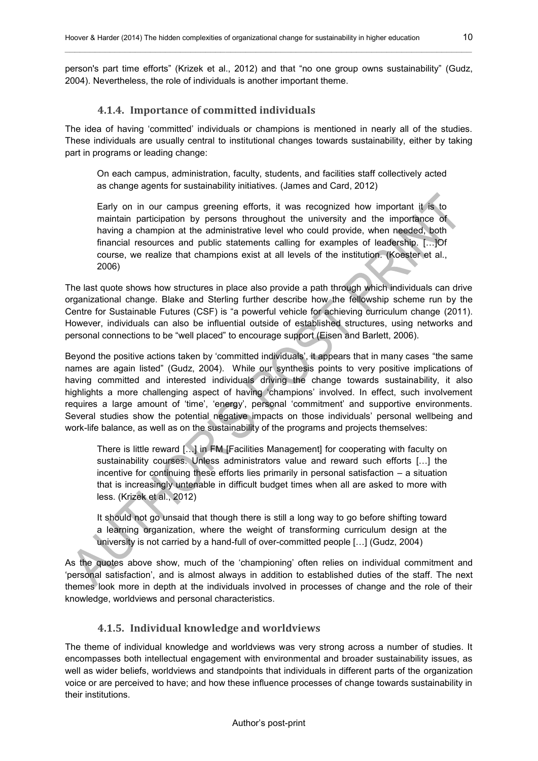person's part time efforts" [\(Krizek et al., 2012\)](#page-23-20) and that "no one group owns sustainability" [\(Gudz,](#page-22-19)  [2004\)](#page-22-19). Nevertheless, the role of individuals is another important theme.

*\_\_\_\_\_\_\_\_\_\_\_\_\_\_\_\_\_\_\_\_\_\_\_\_\_\_\_\_\_\_\_\_\_\_\_\_\_\_\_\_\_\_\_\_\_\_\_\_\_\_\_\_\_\_\_\_\_\_\_\_\_\_\_\_\_\_\_\_\_\_\_\_\_\_\_\_\_\_\_\_\_*

## **4.1.4. Importance of committed individuals**

The idea of having 'committed' individuals or champions is mentioned in nearly all of the studies. These individuals are usually central to institutional changes towards sustainability, either by taking part in programs or leading change:

On each campus, administration, faculty, students, and facilities staff collectively acted as change agents for sustainability initiatives. [\(James and Card, 2012\)](#page-22-20)

Early on in our campus greening efforts, it was recognized how important it is to maintain participation by persons throughout the university and the importance of having a champion at the administrative level who could provide, when needed, both financial resources and public statements calling for examples of leadership. […]Of course, we realize that champions exist at all levels of the institution. [\(Koester et al.,](#page-23-24)  [2006\)](#page-23-24)

The last quote shows how structures in place also provide a path through which individuals can drive organizational change. Blake and Sterling further describe how the fellowship scheme run by the Centre for Sustainable Futures (CSF) is "a powerful vehicle for achieving curriculum change [\(2011\)](#page-22-12). However, individuals can also be influential outside of established structures, using networks and personal connections to be "well placed" to encourage support [\(Eisen and Barlett, 2006\)](#page-22-21).

Beyond the positive actions taken by 'committed individuals', it appears that in many cases "the same names are again listed" [\(Gudz, 2004\)](#page-22-19). While our synthesis points to very positive implications of having committed and interested individuals driving the change towards sustainability, it also highlights a more challenging aspect of having 'champions' involved. In effect, such involvement requires a large amount of 'time', 'energy', personal 'commitment' and supportive environments. Several studies show the potential negative impacts on those individuals' personal wellbeing and work-life balance, as well as on the sustainability of the programs and projects themselves:

There is little reward […] in FM [Facilities Management] for cooperating with faculty on sustainability courses. Unless administrators value and reward such efforts […] the incentive for continuing these efforts lies primarily in personal satisfaction – a situation that is increasingly untenable in difficult budget times when all are asked to more with less. [\(Krizek et al., 2012\)](#page-23-20)

It should not go unsaid that though there is still a long way to go before shifting toward a learning organization, where the weight of transforming curriculum design at the university is not carried by a hand-full of over-committed people […] [\(Gudz, 2004\)](#page-22-19)

As the quotes above show, much of the 'championing' often relies on individual commitment and 'personal satisfaction', and is almost always in addition to established duties of the staff. The next themes look more in depth at the individuals involved in processes of change and the role of their knowledge, worldviews and personal characteristics.

## **4.1.5. Individual knowledge and worldviews**

The theme of individual knowledge and worldviews was very strong across a number of studies. It encompasses both intellectual engagement with environmental and broader sustainability issues, as well as wider beliefs, worldviews and standpoints that individuals in different parts of the organization voice or are perceived to have; and how these influence processes of change towards sustainability in their institutions.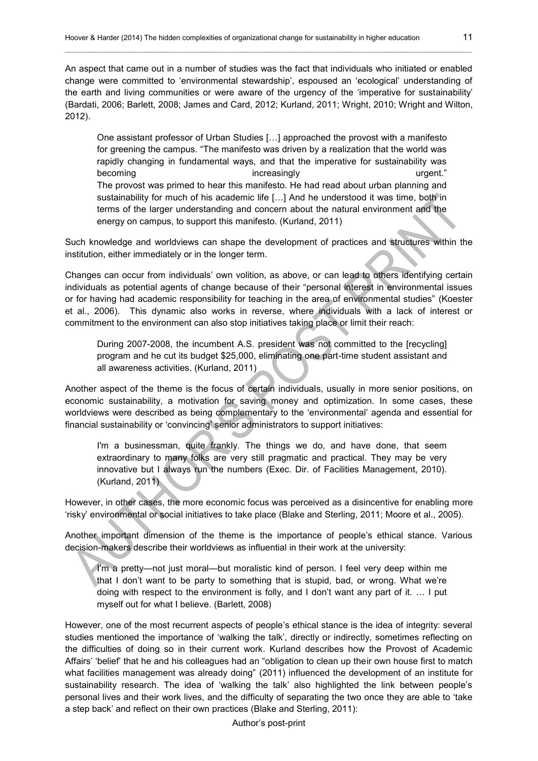An aspect that came out in a number of studies was the fact that individuals who initiated or enabled change were committed to 'environmental stewardship', espoused an 'ecological' understanding of the earth and living communities or were aware of the urgency of the 'imperative for sustainability' [\(Bardati, 2006;](#page-21-3) [Barlett, 2008;](#page-21-4) [James and Card, 2012;](#page-22-20) [Kurland, 2011;](#page-23-23) [Wright, 2010;](#page-24-9) [Wright and Wilton,](#page-24-10)  [2012\)](#page-24-10).

One assistant professor of Urban Studies […] approached the provost with a manifesto for greening the campus. "The manifesto was driven by a realization that the world was rapidly changing in fundamental ways, and that the imperative for sustainability was becoming increasingly increasing increasing the community of the community of the community of the community of the community of the community of the community of the community of the community of the community of the comm The provost was primed to hear this manifesto. He had read about urban planning and sustainability for much of his academic life […] And he understood it was time, both in terms of the larger understanding and concern about the natural environment and the energy on campus, to support this manifesto. [\(Kurland, 2011\)](#page-23-23)

Such knowledge and worldviews can shape the development of practices and structures within the institution, either immediately or in the longer term.

Changes can occur from individuals' own volition, as above, or can lead to others identifying certain individuals as potential agents of change because of their "personal interest in environmental issues or for having had academic responsibility for teaching in the area of environmental studies" [\(Koester](#page-23-24)  [et al., 2006\)](#page-23-24). This dynamic also works in reverse, where individuals with a lack of interest or commitment to the environment can also stop initiatives taking place or limit their reach:

During 2007-2008, the incumbent A.S. president was not committed to the [recycling] program and he cut its budget \$25,000, eliminating one part-time student assistant and all awareness activities. [\(Kurland, 2011\)](#page-23-23)

Another aspect of the theme is the focus of certain individuals, usually in more senior positions, on economic sustainability, a motivation for saving money and optimization. In some cases, these worldviews were described as being complementary to the 'environmental' agenda and essential for financial sustainability or 'convincing' senior administrators to support initiatives:

I'm a businessman, quite frankly. The things we do, and have done, that seem extraordinary to many folks are very still pragmatic and practical. They may be very innovative but I always run the numbers (Exec. Dir. of Facilities Management, 2010). [\(Kurland, 2011\)](#page-23-23)

However, in other cases, the more economic focus was perceived as a disincentive for enabling more 'risky' environmental or social initiatives to take place [\(Blake and Sterling, 2011;](#page-22-12) [Moore et al., 2005\)](#page-23-22).

Another important dimension of the theme is the importance of people's ethical stance. Various decision-makers describe their worldviews as influential in their work at the university:

I'm a pretty—not just moral—but moralistic kind of person. I feel very deep within me that I don't want to be party to something that is stupid, bad, or wrong. What we're doing with respect to the environment is folly, and I don't want any part of it. … I put myself out for what I believe. [\(Barlett, 2008\)](#page-21-4)

However, one of the most recurrent aspects of people's ethical stance is the idea of integrity: several studies mentioned the importance of 'walking the talk', directly or indirectly, sometimes reflecting on the difficulties of doing so in their current work. Kurland describes how the Provost of Academic Affairs' 'belief' that he and his colleagues had an "obligation to clean up their own house first to match what facilities management was already doing" [\(2011\)](#page-23-23) influenced the development of an institute for sustainability research. The idea of 'walking the talk' also highlighted the link between people's personal lives and their work lives, and the difficulty of separating the two once they are able to 'take a step back' and reflect on their own practices [\(Blake and Sterling, 2011\)](#page-22-12):

Author's post-print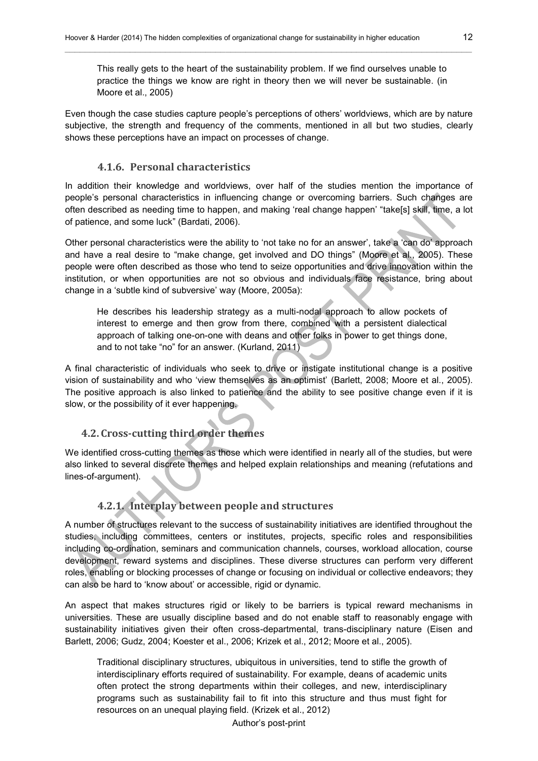This really gets to the heart of the sustainability problem. If we find ourselves unable to practice the things we know are right in theory then we will never be sustainable. [\(in](#page-23-22)  [Moore et al., 2005\)](#page-23-22)

*\_\_\_\_\_\_\_\_\_\_\_\_\_\_\_\_\_\_\_\_\_\_\_\_\_\_\_\_\_\_\_\_\_\_\_\_\_\_\_\_\_\_\_\_\_\_\_\_\_\_\_\_\_\_\_\_\_\_\_\_\_\_\_\_\_\_\_\_\_\_\_\_\_\_\_\_\_\_\_\_\_*

Even though the case studies capture people's perceptions of others' worldviews, which are by nature subjective, the strength and frequency of the comments, mentioned in all but two studies, clearly shows these perceptions have an impact on processes of change.

## **4.1.6. Personal characteristics**

In addition their knowledge and worldviews, over half of the studies mention the importance of people's personal characteristics in influencing change or overcoming barriers. Such changes are often described as needing time to happen, and making 'real change happen' "take[s] skill, time, a lot of patience, and some luck" [\(Bardati, 2006\)](#page-21-3).

Other personal characteristics were the ability to 'not take no for an answer', take a 'can do' approach and have a real desire to "make change, get involved and DO things" [\(Moore et al., 2005\)](#page-23-22). These people were often described as those who tend to seize opportunities and drive innovation within the institution, or when opportunities are not so obvious and individuals face resistance, bring about change in a 'subtle kind of subversive' way [\(Moore, 2005a\)](#page-23-8):

He describes his leadership strategy as a multi-nodal approach to allow pockets of interest to emerge and then grow from there, combined with a persistent dialectical approach of talking one-on-one with deans and other folks in power to get things done, and to not take "no" for an answer. [\(Kurland, 2011\)](#page-23-23)

A final characteristic of individuals who seek to drive or instigate institutional change is a positive vision of sustainability and who 'view themselves as an optimist' [\(Barlett, 2008;](#page-21-4) [Moore et al., 2005\)](#page-23-22). The positive approach is also linked to patience and the ability to see positive change even if it is slow, or the possibility of it ever happening.

## **4.2. Cross-cutting third order themes**

We identified cross-cutting themes as those which were identified in nearly all of the studies, but were also linked to several discrete themes and helped explain relationships and meaning (refutations and lines-of-argument).

## **4.2.1. Interplay between people and structures**

A number of structures relevant to the success of sustainability initiatives are identified throughout the studies, including committees, centers or institutes, projects, specific roles and responsibilities including co-ordination, seminars and communication channels, courses, workload allocation, course development, reward systems and disciplines. These diverse structures can perform very different roles, enabling or blocking processes of change or focusing on individual or collective endeavors; they can also be hard to 'know about' or accessible, rigid or dynamic.

An aspect that makes structures rigid or likely to be barriers is typical reward mechanisms in universities. These are usually discipline based and do not enable staff to reasonably engage with sustainability initiatives given their often cross-departmental, trans-disciplinary nature [\(Eisen and](#page-22-21)  [Barlett, 2006;](#page-22-21) [Gudz, 2004;](#page-22-19) [Koester et al., 2006;](#page-23-24) [Krizek et al., 2012;](#page-23-20) [Moore et al., 2005\)](#page-23-22).

Traditional disciplinary structures, ubiquitous in universities, tend to stifle the growth of interdisciplinary efforts required of sustainability. For example, deans of academic units often protect the strong departments within their colleges, and new, interdisciplinary programs such as sustainability fail to fit into this structure and thus must fight for resources on an unequal playing field. [\(Krizek et al., 2012\)](#page-23-20)

Author's post-print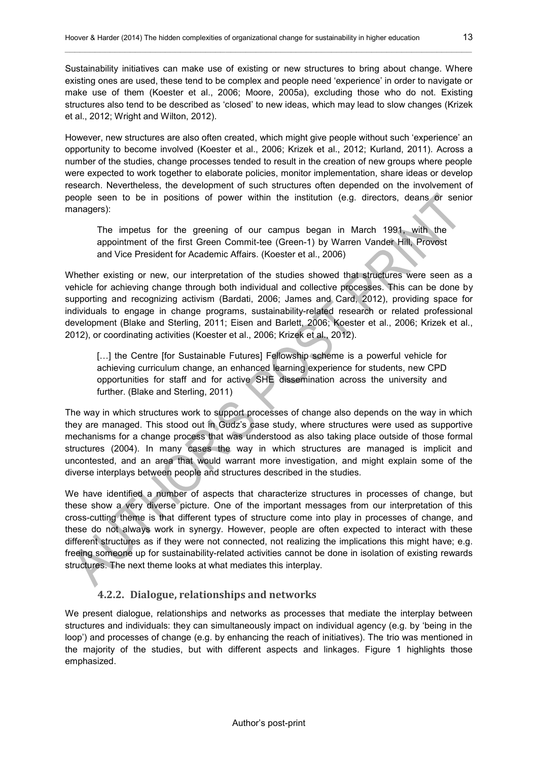Sustainability initiatives can make use of existing or new structures to bring about change. Where existing ones are used, these tend to be complex and people need 'experience' in order to navigate or make use of them [\(Koester et al., 2006;](#page-23-24) [Moore, 2005a\)](#page-23-8), excluding those who do not. Existing structures also tend to be described as 'closed' to new ideas, which may lead to slow changes [\(Krizek](#page-23-20)  [et al., 2012;](#page-23-20) [Wright and Wilton, 2012\)](#page-24-10).

However, new structures are also often created, which might give people without such 'experience' an opportunity to become involved [\(Koester et al., 2006;](#page-23-24) [Krizek et al., 2012;](#page-23-20) [Kurland, 2011\)](#page-23-23). Across a number of the studies, change processes tended to result in the creation of new groups where people were expected to work together to elaborate policies, monitor implementation, share ideas or develop research. Nevertheless, the development of such structures often depended on the involvement of people seen to be in positions of power within the institution (e.g. directors, deans or senior managers):

The impetus for the greening of our campus began in March 1991, with the appointment of the first Green Commit-tee (Green-1) by Warren Vander Hill, Provost and Vice President for Academic Affairs. [\(Koester et al., 2006\)](#page-23-24)

Whether existing or new, our interpretation of the studies showed that structures were seen as a vehicle for achieving change through both individual and collective processes. This can be done by supporting and recognizing activism [\(Bardati, 2006;](#page-21-3) [James and Card, 2012\)](#page-22-20), providing space for individuals to engage in change programs, sustainability-related research or related professional development [\(Blake and Sterling, 2011;](#page-22-12) [Eisen and Barlett, 2006;](#page-22-21) [Koester et al., 2006;](#page-23-24) [Krizek et al.,](#page-23-20)  [2012\)](#page-23-20), or coordinating activities [\(Koester et al., 2006;](#page-23-24) [Krizek et al., 2012\)](#page-23-20).

[...] the Centre [for Sustainable Futures] Fellowship scheme is a powerful vehicle for achieving curriculum change, an enhanced learning experience for students, new CPD opportunities for staff and for active SHE dissemination across the university and further. (Blake [and Sterling, 2011\)](#page-22-12)

The way in which structures work to support processes of change also depends on the way in which they are managed. This stood out in Gudz's case study, where structures were used as supportive mechanisms for a change process that was understood as also taking place outside of those formal structures [\(2004\)](#page-22-19). In many cases the way in which structures are managed is implicit and uncontested, and an area that would warrant more investigation, and might explain some of the diverse interplays between people and structures described in the studies.

We have identified a number of aspects that characterize structures in processes of change, but these show a very diverse picture. One of the important messages from our interpretation of this cross-cutting theme is that different types of structure come into play in processes of change, and these do not always work in synergy. However, people are often expected to interact with these different structures as if they were not connected, not realizing the implications this might have; e.g. freeing someone up for sustainability-related activities cannot be done in isolation of existing rewards structures. The next theme looks at what mediates this interplay.

## **4.2.2. Dialogue, relationships and networks**

We present dialogue, relationships and networks as processes that mediate the interplay between structures and individuals: they can simultaneously impact on individual agency (e.g. by 'being in the loop') and processes of change (e.g. by enhancing the reach of initiatives). The trio was mentioned in the majority of the studies, but with different aspects and linkages. Figure 1 highlights those emphasized.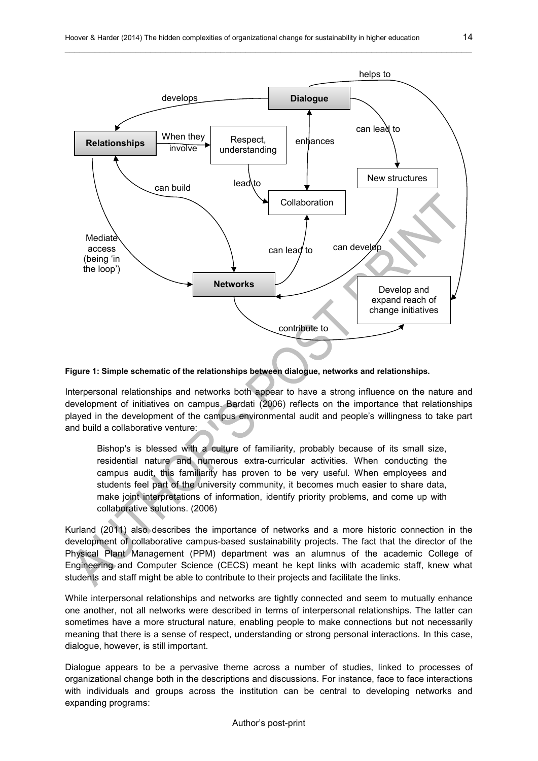*\_\_\_\_\_\_\_\_\_\_\_\_\_\_\_\_\_\_\_\_\_\_\_\_\_\_\_\_\_\_\_\_\_\_\_\_\_\_\_\_\_\_\_\_\_\_\_\_\_\_\_\_\_\_\_\_\_\_\_\_\_\_\_\_\_\_\_\_\_\_\_\_\_\_\_\_\_\_\_\_\_*



**Figure 1: Simple schematic of the relationships between dialogue, networks and relationships.**

Interpersonal relationships and networks both appear to have a strong influence on the nature and development of initiatives on campus. Bardati [\(2006\)](#page-21-3) reflects on the importance that relationships played in the development of the campus environmental audit and people's willingness to take part and build a collaborative venture:

Bishop's is blessed with a culture of familiarity, probably because of its small size, residential nature and numerous extra-curricular activities. When conducting the campus audit, this familiarity has proven to be very useful. When employees and students feel part of the university community, it becomes much easier to share data, make joint interpretations of information, identify priority problems, and come up with collaborative solutions. [\(2006\)](#page-21-3)

Kurland [\(2011\)](#page-23-23) also describes the importance of networks and a more historic connection in the development of collaborative campus-based sustainability projects. The fact that the director of the Physical Plant Management (PPM) department was an alumnus of the academic College of Engineering and Computer Science (CECS) meant he kept links with academic staff, knew what students and staff might be able to contribute to their projects and facilitate the links.

While interpersonal relationships and networks are tightly connected and seem to mutually enhance one another, not all networks were described in terms of interpersonal relationships. The latter can sometimes have a more structural nature, enabling people to make connections but not necessarily meaning that there is a sense of respect, understanding or strong personal interactions. In this case, dialogue, however, is still important.

Dialogue appears to be a pervasive theme across a number of studies, linked to processes of organizational change both in the descriptions and discussions. For instance, face to face interactions with individuals and groups across the institution can be central to developing networks and expanding programs: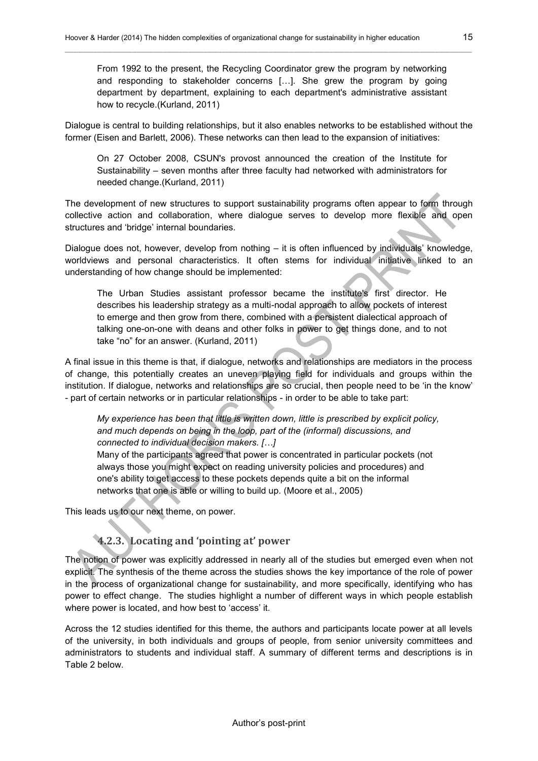From 1992 to the present, the Recycling Coordinator grew the program by networking and responding to stakeholder concerns […]. She grew the program by going department by department, explaining to each department's administrative assistant how to recycle.[\(Kurland, 2011\)](#page-23-23)

*\_\_\_\_\_\_\_\_\_\_\_\_\_\_\_\_\_\_\_\_\_\_\_\_\_\_\_\_\_\_\_\_\_\_\_\_\_\_\_\_\_\_\_\_\_\_\_\_\_\_\_\_\_\_\_\_\_\_\_\_\_\_\_\_\_\_\_\_\_\_\_\_\_\_\_\_\_\_\_\_\_*

Dialogue is central to building relationships, but it also enables networks to be established without the former [\(Eisen and Barlett, 2006\)](#page-22-21). These networks can then lead to the expansion of initiatives:

On 27 October 2008, CSUN's provost announced the creation of the Institute for Sustainability – seven months after three faculty had networked with administrators for needed change.[\(Kurland, 2011\)](#page-23-23)

The development of new structures to support sustainability programs often appear to form through collective action and collaboration, where dialogue serves to develop more flexible and open structures and 'bridge' internal boundaries.

Dialogue does not, however, develop from nothing – it is often influenced by individuals' knowledge, worldviews and personal characteristics. It often stems for individual initiative linked to an understanding of how change should be implemented:

The Urban Studies assistant professor became the institute's first director. He describes his leadership strategy as a multi-nodal approach to allow pockets of interest to emerge and then grow from there, combined with a persistent dialectical approach of talking one-on-one with deans and other folks in power to get things done, and to not take "no" for an answer. [\(Kurland, 2011\)](#page-23-23)

A final issue in this theme is that, if dialogue, networks and relationships are mediators in the process of change, this potentially creates an uneven playing field for individuals and groups within the institution. If dialogue, networks and relationships are so crucial, then people need to be 'in the know' - part of certain networks or in particular relationships - in order to be able to take part:

*My experience has been that little is written down, little is prescribed by explicit policy, and much depends on being in the loop, part of the (informal) discussions, and connected to individual decision makers. […]*

Many of the participants agreed that power is concentrated in particular pockets (not always those you might expect on reading university policies and procedures) and one's ability to get access to these pockets depends quite a bit on the informal networks that one is able or willing to build up. [\(Moore et al., 2005\)](#page-23-22)

This leads us to our next theme, on power.

## **4.2.3. Locating and 'pointing at' power**

The notion of power was explicitly addressed in nearly all of the studies but emerged even when not explicit. The synthesis of the theme across the studies shows the key importance of the role of power in the process of organizational change for sustainability, and more specifically, identifying who has power to effect change. The studies highlight a number of different ways in which people establish where power is located, and how best to 'access' it.

Across the 12 studies identified for this theme, the authors and participants locate power at all levels of the university, in both individuals and groups of people, from senior university committees and administrators to students and individual staff. A summary of different terms and descriptions is in Table 2 below.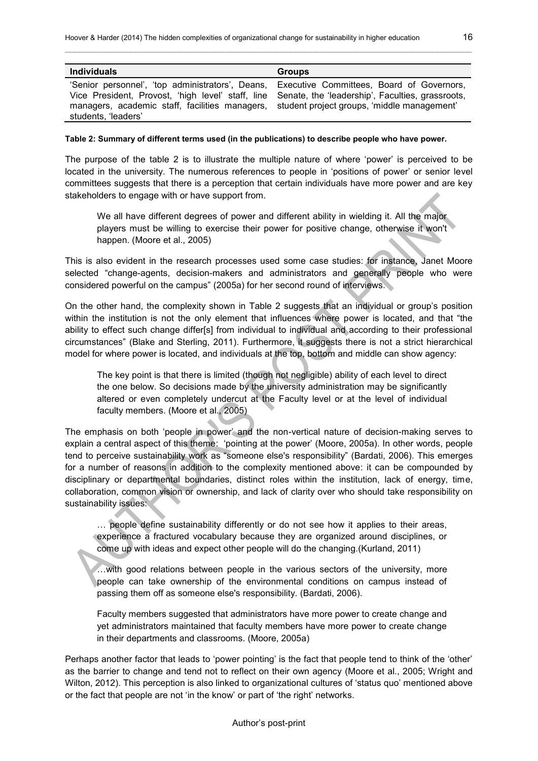| <b>Individuals</b>                                                                                                                                                                                                                                                                                                    | <b>Groups</b> |
|-----------------------------------------------------------------------------------------------------------------------------------------------------------------------------------------------------------------------------------------------------------------------------------------------------------------------|---------------|
| 'Senior personnel', 'top administrators', Deans, Executive Committees, Board of Governors,<br>Vice President, Provost, 'high level' staff, line Senate, the 'leadership', Faculties, grassroots,<br>managers, academic staff, facilities managers, student project groups, 'middle management'<br>students, 'leaders' |               |

*\_\_\_\_\_\_\_\_\_\_\_\_\_\_\_\_\_\_\_\_\_\_\_\_\_\_\_\_\_\_\_\_\_\_\_\_\_\_\_\_\_\_\_\_\_\_\_\_\_\_\_\_\_\_\_\_\_\_\_\_\_\_\_\_\_\_\_\_\_\_\_\_\_\_\_\_\_\_\_\_\_*

#### **Table 2: Summary of different terms used (in the publications) to describe people who have power.**

The purpose of the table 2 is to illustrate the multiple nature of where 'power' is perceived to be located in the university. The numerous references to people in 'positions of power' or senior level committees suggests that there is a perception that certain individuals have more power and are key stakeholders to engage with or have support from.

We all have different degrees of power and different ability in wielding it. All the major players must be willing to exercise their power for positive change, otherwise it won't happen. [\(Moore et al., 2005\)](#page-23-22)

This is also evident in the research processes used some case studies: for instance, Janet Moore selected "change-agents, decision-makers and administrators and generally people who were considered powerful on the campus" [\(2005a\)](#page-23-8) for her second round of interviews.

On the other hand, the complexity shown in Table 2 suggests that an individual or group's position within the institution is not the only element that influences where power is located, and that "the ability to effect such change differ[s] from individual to individual and according to their professional circumstances" [\(Blake and Sterling, 2011\)](#page-22-12). Furthermore, it suggests there is not a strict hierarchical model for where power is located, and individuals at the top, bottom and middle can show agency:

The key point is that there is limited (though not negligible) ability of each level to direct the one below. So decisions made by the university administration may be significantly altered or even completely undercut at the Faculty level or at the level of individual faculty members. [\(Moore et al., 2005\)](#page-23-22)

The emphasis on both 'people in power' and the non-vertical nature of decision-making serves to explain a central aspect of this theme: 'pointing at the power' [\(Moore, 2005a\)](#page-23-8). In other words, people tend to perceive sustainability work as "someone else's responsibility" [\(Bardati, 2006\)](#page-21-3). This emerges for a number of reasons in addition to the complexity mentioned above: it can be compounded by disciplinary or departmental boundaries, distinct roles within the institution, lack of energy, time, collaboration, common vision or ownership, and lack of clarity over who should take responsibility on sustainability issues:

… people define sustainability differently or do not see how it applies to their areas, experience a fractured vocabulary because they are organized around disciplines, or come up with ideas and expect other people will do the changing.[\(Kurland, 2011\)](#page-23-23)

…with good relations between people in the various sectors of the university, more people can take ownership of the environmental conditions on campus instead of passing them off as someone else's responsibility. [\(Bardati, 2006\)](#page-21-3).

Faculty members suggested that administrators have more power to create change and yet administrators maintained that faculty members have more power to create change in their departments and classrooms. [\(Moore, 2005a\)](#page-23-8)

Perhaps another factor that leads to 'power pointing' is the fact that people tend to think of the 'other' as the barrier to change and tend not to reflect on their own agency [\(Moore et al., 2005;](#page-23-22) [Wright and](#page-24-10)  [Wilton, 2012\)](#page-24-10). This perception is also linked to organizational cultures of 'status quo' mentioned above or the fact that people are not 'in the know' or part of 'the right' networks.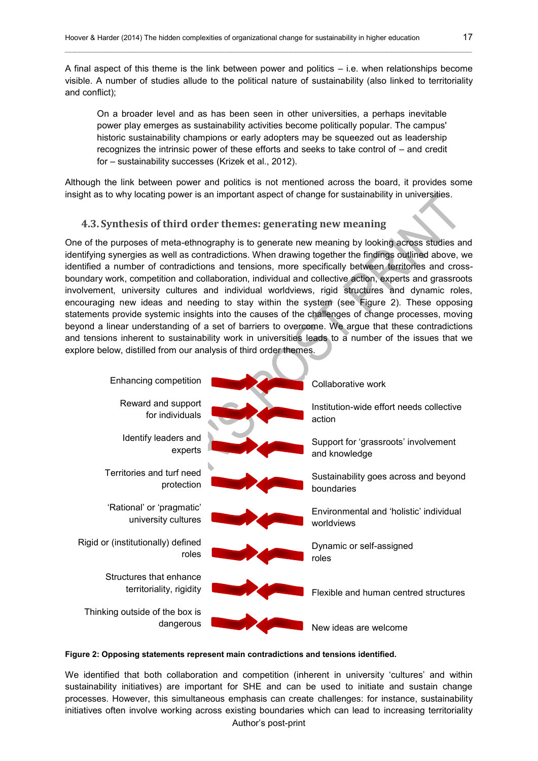A final aspect of this theme is the link between power and politics – i.e. when relationships become visible. A number of studies allude to the political nature of sustainability (also linked to territoriality and conflict);

*\_\_\_\_\_\_\_\_\_\_\_\_\_\_\_\_\_\_\_\_\_\_\_\_\_\_\_\_\_\_\_\_\_\_\_\_\_\_\_\_\_\_\_\_\_\_\_\_\_\_\_\_\_\_\_\_\_\_\_\_\_\_\_\_\_\_\_\_\_\_\_\_\_\_\_\_\_\_\_\_\_*

On a broader level and as has been seen in other universities, a perhaps inevitable power play emerges as sustainability activities become politically popular. The campus' historic sustainability champions or early adopters may be squeezed out as leadership recognizes the intrinsic power of these efforts and seeks to take control of – and credit for – sustainability successes [\(Krizek et al., 2012\)](#page-23-20).

Although the link between power and politics is not mentioned across the board, it provides some insight as to why locating power is an important aspect of change for sustainability in universities.

## **4.3. Synthesis of third order themes: generating new meaning**

One of the purposes of meta-ethnography is to generate new meaning by looking across studies and identifying synergies as well as contradictions. When drawing together the findings outlined above, we identified a number of contradictions and tensions, more specifically between territories and crossboundary work, competition and collaboration, individual and collective action, experts and grassroots involvement, university cultures and individual worldviews, rigid structures and dynamic roles, encouraging new ideas and needing to stay within the system (see Figure 2). These opposing statements provide systemic insights into the causes of the challenges of change processes, moving beyond a linear understanding of a set of barriers to overcome. We argue that these contradictions and tensions inherent to sustainability work in universities leads to a number of the issues that we explore below, distilled from our analysis of third order themes.



#### **Figure 2: Opposing statements represent main contradictions and tensions identified.**

Author's post-print We identified that both collaboration and competition (inherent in university 'cultures' and within sustainability initiatives) are important for SHE and can be used to initiate and sustain change processes. However, this simultaneous emphasis can create challenges: for instance, sustainability initiatives often involve working across existing boundaries which can lead to increasing territoriality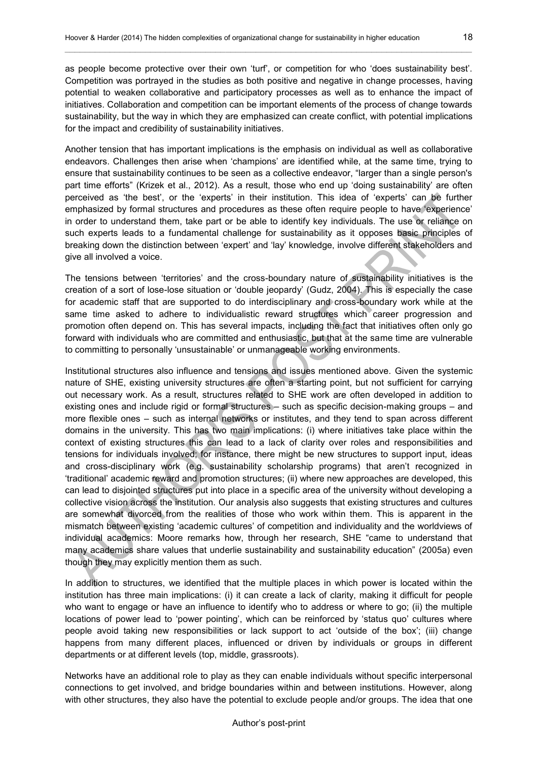as people become protective over their own 'turf', or competition for who 'does sustainability best'. Competition was portrayed in the studies as both positive and negative in change processes, having potential to weaken collaborative and participatory processes as well as to enhance the impact of initiatives. Collaboration and competition can be important elements of the process of change towards sustainability, but the way in which they are emphasized can create conflict, with potential implications for the impact and credibility of sustainability initiatives.

*\_\_\_\_\_\_\_\_\_\_\_\_\_\_\_\_\_\_\_\_\_\_\_\_\_\_\_\_\_\_\_\_\_\_\_\_\_\_\_\_\_\_\_\_\_\_\_\_\_\_\_\_\_\_\_\_\_\_\_\_\_\_\_\_\_\_\_\_\_\_\_\_\_\_\_\_\_\_\_\_\_*

Another tension that has important implications is the emphasis on individual as well as collaborative endeavors. Challenges then arise when 'champions' are identified while, at the same time, trying to ensure that sustainability continues to be seen as a collective endeavor, "larger than a single person's part time efforts" [\(Krizek et al., 2012\)](#page-23-20). As a result, those who end up 'doing sustainability' are often perceived as 'the best', or the 'experts' in their institution. This idea of 'experts' can be further emphasized by formal structures and procedures as these often require people to have 'experience' in order to understand them, take part or be able to identify key individuals. The use or reliance on such experts leads to a fundamental challenge for sustainability as it opposes basic principles of breaking down the distinction between 'expert' and 'lay' knowledge, involve different stakeholders and give all involved a voice.

The tensions between 'territories' and the cross-boundary nature of sustainability initiatives is the creation of a sort of lose-lose situation or 'double jeopardy' [\(Gudz, 2004\)](#page-22-19). This is especially the case for academic staff that are supported to do interdisciplinary and cross-boundary work while at the same time asked to adhere to individualistic reward structures which career progression and promotion often depend on. This has several impacts, including the fact that initiatives often only go forward with individuals who are committed and enthusiastic, but that at the same time are vulnerable to committing to personally 'unsustainable' or unmanageable working environments.

Institutional structures also influence and tensions and issues mentioned above. Given the systemic nature of SHE, existing university structures are often a starting point, but not sufficient for carrying out necessary work. As a result, structures related to SHE work are often developed in addition to existing ones and include rigid or formal structures – such as specific decision-making groups – and more flexible ones – such as internal networks or institutes, and they tend to span across different domains in the university. This has two main implications: (i) where initiatives take place within the context of existing structures this can lead to a lack of clarity over roles and responsibilities and tensions for individuals involved; for instance, there might be new structures to support input, ideas and cross-disciplinary work (e.g. sustainability scholarship programs) that aren't recognized in 'traditional' academic reward and promotion structures; (ii) where new approaches are developed, this can lead to disjointed structures put into place in a specific area of the university without developing a collective vision across the institution. Our analysis also suggests that existing structures and cultures are somewhat divorced from the realities of those who work within them. This is apparent in the mismatch between existing 'academic cultures' of competition and individuality and the worldviews of individual academics: Moore remarks how, through her research, SHE "came to understand that many academics share values that underlie sustainability and sustainability education" [\(2005a\)](#page-23-8) even though they may explicitly mention them as such.

In addition to structures, we identified that the multiple places in which power is located within the institution has three main implications: (i) it can create a lack of clarity, making it difficult for people who want to engage or have an influence to identify who to address or where to go; (ii) the multiple locations of power lead to 'power pointing', which can be reinforced by 'status quo' cultures where people avoid taking new responsibilities or lack support to act 'outside of the box'; (iii) change happens from many different places, influenced or driven by individuals or groups in different departments or at different levels (top, middle, grassroots).

Networks have an additional role to play as they can enable individuals without specific interpersonal connections to get involved, and bridge boundaries within and between institutions. However, along with other structures, they also have the potential to exclude people and/or groups. The idea that one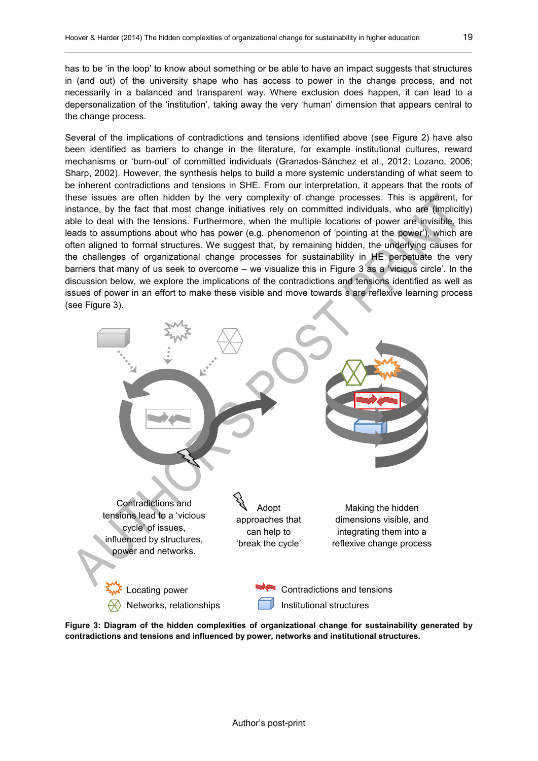has to be 'in the loop' to know about something or be able to have an impact suggests that structures in (and out) of the university shape who has access to power in the change process, and not necessarily in a balanced and transparent way. Where exclusion does happen, it can lead to a depersonalization of the 'institution', taking away the very 'human' dimension that appears central to the change process.

*\_\_\_\_\_\_\_\_\_\_\_\_\_\_\_\_\_\_\_\_\_\_\_\_\_\_\_\_\_\_\_\_\_\_\_\_\_\_\_\_\_\_\_\_\_\_\_\_\_\_\_\_\_\_\_\_\_\_\_\_\_\_\_\_\_\_\_\_\_\_\_\_\_\_\_\_\_\_\_\_\_*

Several of the implications of contradictions and tensions identified above (see Figure 2) have also been identified as barriers to change in the literature, for example institutional cultures, reward mechanisms or 'burn-out' of committed individuals [\(Granados-Sánchez et al., 2012;](#page-22-7) [Lozano, 2006;](#page-23-9) [Sharp, 2002\)](#page-23-5). However, the synthesis helps to build a more systemic understanding of what seem to be inherent contradictions and tensions in SHE. From our interpretation, it appears that the roots of these issues are often hidden by the very complexity of change processes. This is apparent, for instance, by the fact that most change initiatives rely on committed individuals, who are (implicitly) able to deal with the tensions. Furthermore, when the multiple locations of power are invisible, this leads to assumptions about who has power (e.g. phenomenon of 'pointing at the power'), which are often aligned to formal structures. We suggest that, by remaining hidden, the underlying causes for the challenges of organizational change processes for sustainability in HE perpetuate the very barriers that many of us seek to overcome – we visualize this in Figure 3 as a 'vicious circle'. In the discussion below, we explore the implications of the contradictions and tensions identified as well as issues of power in an effort to make these visible and move towards s are reflexive learning process (see Figure 3).



**Figure 3: Diagram of the hidden complexities of organizational change for sustainability generated by contradictions and tensions and influenced by power, networks and institutional structures.**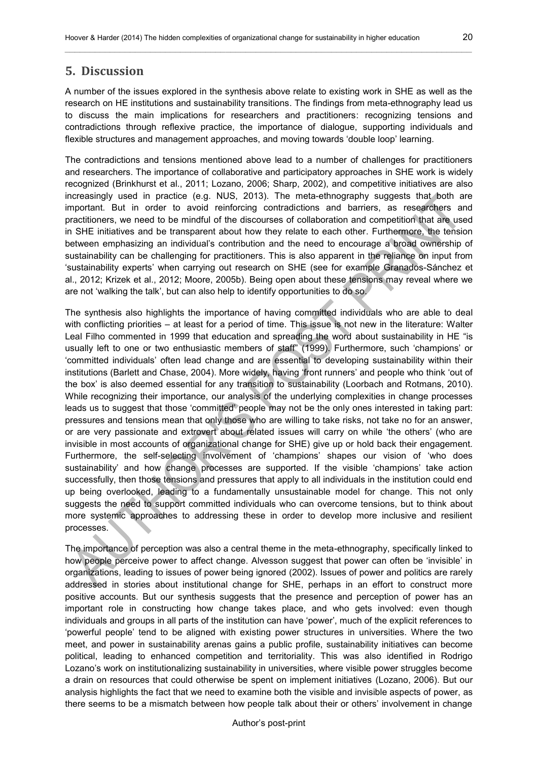# **5. Discussion**

A number of the issues explored in the synthesis above relate to existing work in SHE as well as the research on HE institutions and sustainability transitions. The findings from meta-ethnography lead us to discuss the main implications for researchers and practitioners: recognizing tensions and contradictions through reflexive practice, the importance of dialogue, supporting individuals and flexible structures and management approaches, and moving towards 'double loop' learning.

*\_\_\_\_\_\_\_\_\_\_\_\_\_\_\_\_\_\_\_\_\_\_\_\_\_\_\_\_\_\_\_\_\_\_\_\_\_\_\_\_\_\_\_\_\_\_\_\_\_\_\_\_\_\_\_\_\_\_\_\_\_\_\_\_\_\_\_\_\_\_\_\_\_\_\_\_\_\_\_\_\_*

The contradictions and tensions mentioned above lead to a number of challenges for practitioners and researchers. The importance of collaborative and participatory approaches in SHE work is widely recognized [\(Brinkhurst et al., 2011;](#page-22-22) [Lozano, 2006;](#page-23-9) [Sharp, 2002\)](#page-23-5), and competitive initiatives are also increasingly used in practice [\(e.g. NUS, 2013\)](#page-23-25). The meta-ethnography suggests that both are important. But in order to avoid reinforcing contradictions and barriers, as researchers and practitioners, we need to be mindful of the discourses of collaboration and competition that are used in SHE initiatives and be transparent about how they relate to each other. Furthermore, the tension between emphasizing an individual's contribution and the need to encourage a broad ownership of sustainability can be challenging for practitioners. This is also apparent in the reliance on input from 'sustainability experts' when carrying out research on SHE (see for example [Granados-Sánchez et](#page-22-7)  [al., 2012;](#page-22-7) [Krizek et al., 2012;](#page-23-20) [Moore, 2005b\)](#page-23-10). Being open about these tensions may reveal where we are not 'walking the talk', but can also help to identify opportunities to do so.

The synthesis also highlights the importance of having committed individuals who are able to deal with conflicting priorities – at least for a period of time. This issue is not new in the literature: Walter Leal Filho commented in 1999 that education and spreading the word about sustainability in HE "is usually left to one or two enthusiastic members of staff" [\(1999\)](#page-23-7). Furthermore, such 'champions' or 'committed individuals' often lead change and are essential to developing sustainability within their institutions [\(Barlett and Chase, 2004\)](#page-21-0). More widely, having 'front runners' and people who think 'out of the box' is also deemed essential for any transition to sustainability [\(Loorbach and Rotmans, 2010\)](#page-23-26). While recognizing their importance, our analysis of the underlying complexities in change processes leads us to suggest that those 'committed' people may not be the only ones interested in taking part: pressures and tensions mean that only those who are willing to take risks, not take no for an answer, or are very passionate and extrovert about related issues will carry on while 'the others' (who are invisible in most accounts of organizational change for SHE) give up or hold back their engagement. Furthermore, the self-selecting involvement of 'champions' shapes our vision of 'who does sustainability' and how change processes are supported. If the visible 'champions' take action successfully, then those tensions and pressures that apply to all individuals in the institution could end up being overlooked, leading to a fundamentally unsustainable model for change. This not only suggests the need to support committed individuals who can overcome tensions, but to think about more systemic approaches to addressing these in order to develop more inclusive and resilient processes.

The importance of perception was also a central theme in the meta-ethnography, specifically linked to how people perceive power to affect change. Alvesson suggest that power can often be 'invisible' in organizations, leading to issues of power being ignored [\(2002\)](#page-21-2). Issues of power and politics are rarely addressed in stories about institutional change for SHE, perhaps in an effort to construct more positive accounts. But our synthesis suggests that the presence and perception of power has an important role in constructing how change takes place, and who gets involved: even though individuals and groups in all parts of the institution can have 'power', much of the explicit references to 'powerful people' tend to be aligned with existing power structures in universities. Where the two meet, and power in sustainability arenas gains a public profile, sustainability initiatives can become political, leading to enhanced competition and territoriality. This was also identified in Rodrigo Lozano's work on institutionalizing sustainability in universities, where visible power struggles become a drain on resources that could otherwise be spent on implement initiatives [\(Lozano, 2006\)](#page-23-9). But our analysis highlights the fact that we need to examine both the visible and invisible aspects of power, as there seems to be a mismatch between how people talk about their or others' involvement in change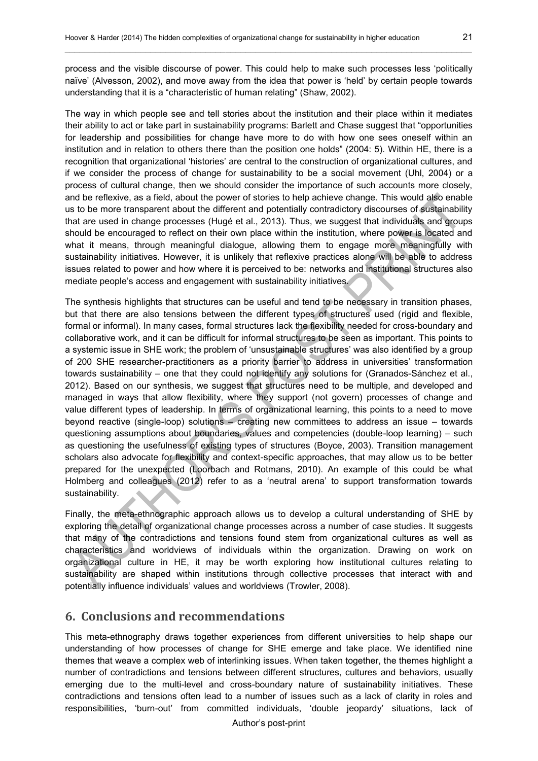process and the visible discourse of power. This could help to make such processes less 'politically naïve' [\(Alvesson, 2002\)](#page-21-2), and move away from the idea that power is 'held' by certain people towards understanding that it is a "characteristic of human relating" [\(Shaw, 2002\)](#page-23-27).

*\_\_\_\_\_\_\_\_\_\_\_\_\_\_\_\_\_\_\_\_\_\_\_\_\_\_\_\_\_\_\_\_\_\_\_\_\_\_\_\_\_\_\_\_\_\_\_\_\_\_\_\_\_\_\_\_\_\_\_\_\_\_\_\_\_\_\_\_\_\_\_\_\_\_\_\_\_\_\_\_\_*

The way in which people see and tell stories about the institution and their place within it mediates their ability to act or take part in sustainability programs: Barlett and Chase suggest that "opportunities for leadership and possibilities for change have more to do with how one sees oneself within an institution and in relation to others there than the position one holds" (2004: 5). Within HE, there is a recognition that organizational 'histories' are central to the construction of organizational cultures, and if we consider the process of change for sustainability to be a social movement [\(Uhl, 2004\)](#page-24-11) or a process of cultural change, then we should consider the importance of such accounts more closely, and be reflexive, as a field, about the power of stories to help achieve change. This would also enable us to be more transparent about the different and potentially contradictory discourses of sustainability that are used in change processes [\(Hugé et al., 2013\)](#page-22-0). Thus, we suggest that individuals and groups should be encouraged to reflect on their own place within the institution, where power is located and what it means, through meaningful dialogue, allowing them to engage more meaningfully with sustainability initiatives. However, it is unlikely that reflexive practices alone will be able to address issues related to power and how where it is perceived to be: networks and institutional structures also mediate people's access and engagement with sustainability initiatives.

The synthesis highlights that structures can be useful and tend to be necessary in transition phases, but that there are also tensions between the different types of structures used (rigid and flexible, formal or informal). In many cases, formal structures lack the flexibility needed for cross-boundary and collaborative work, and it can be difficult for informal structures to be seen as important. This points to a systemic issue in SHE work; the problem of 'unsustainable structures' was also identified by a group of 200 SHE researcher-practitioners as a priority barrier to address in universities' transformation towards sustainability – one that they could not identify any solutions for [\(Granados-Sánchez et al.,](#page-22-7)  [2012\)](#page-22-7). Based on our synthesis, we suggest that structures need to be multiple, and developed and managed in ways that allow flexibility, where they support (not govern) processes of change and value different types of leadership. In terms of organizational learning, this points to a need to move beyond reactive (single-loop) solutions – creating new committees to address an issue – towards questioning assumptions about boundaries, values and competencies (double-loop learning) – such as questioning the usefulness of existing types of structures [\(Boyce, 2003\)](#page-22-10). Transition management scholars also advocate for flexibility and context-specific approaches, that may allow us to be better prepared for the unexpected [\(Loorbach and Rotmans, 2010\)](#page-23-26). An example of this could be what Holmberg and colleagues [\(2012\)](#page-22-6) refer to as a 'neutral arena' to support transformation towards sustainability.

Finally, the meta-ethnographic approach allows us to develop a cultural understanding of SHE by exploring the detail of organizational change processes across a number of case studies. It suggests that many of the contradictions and tensions found stem from organizational cultures as well as characteristics and worldviews of individuals within the organization. Drawing on work on organizational culture in HE, it may be worth exploring how institutional cultures relating to sustainability are shaped within institutions through collective processes that interact with and potentially influence individuals' values and worldviews [\(Trowler, 2008\)](#page-24-5).

## **6. Conclusions and recommendations**

This meta-ethnography draws together experiences from different universities to help shape our understanding of how processes of change for SHE emerge and take place. We identified nine themes that weave a complex web of interlinking issues. When taken together, the themes highlight a number of contradictions and tensions between different structures, cultures and behaviors, usually emerging due to the multi-level and cross-boundary nature of sustainability initiatives. These contradictions and tensions often lead to a number of issues such as a lack of clarity in roles and responsibilities, 'burn-out' from committed individuals, 'double jeopardy' situations, lack of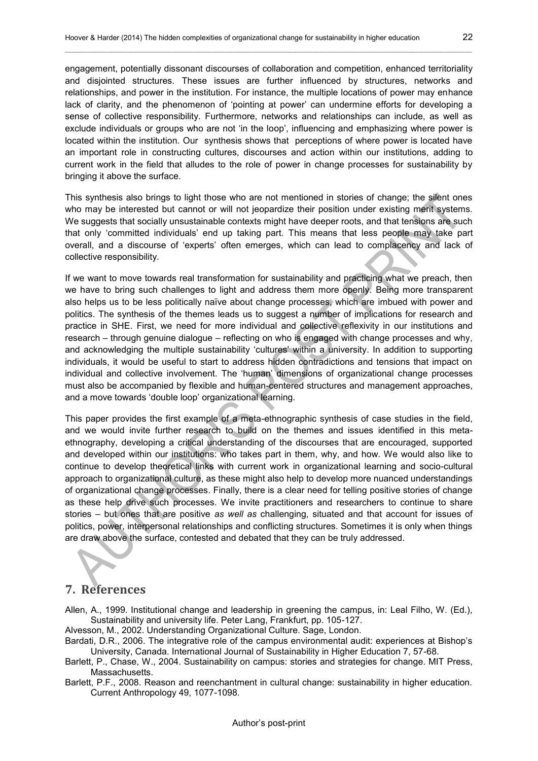engagement, potentially dissonant discourses of collaboration and competition, enhanced territoriality and disjointed structures. These issues are further influenced by structures, networks and relationships, and power in the institution. For instance, the multiple locations of power may enhance lack of clarity, and the phenomenon of 'pointing at power' can undermine efforts for developing a sense of collective responsibility. Furthermore, networks and relationships can include, as well as exclude individuals or groups who are not 'in the loop', influencing and emphasizing where power is located within the institution. Our synthesis shows that perceptions of where power is located have an important role in constructing cultures, discourses and action within our institutions, adding to current work in the field that alludes to the role of power in change processes for sustainability by bringing it above the surface.

*\_\_\_\_\_\_\_\_\_\_\_\_\_\_\_\_\_\_\_\_\_\_\_\_\_\_\_\_\_\_\_\_\_\_\_\_\_\_\_\_\_\_\_\_\_\_\_\_\_\_\_\_\_\_\_\_\_\_\_\_\_\_\_\_\_\_\_\_\_\_\_\_\_\_\_\_\_\_\_\_\_*

This synthesis also brings to light those who are not mentioned in stories of change; the silent ones who may be interested but cannot or will not jeopardize their position under existing merit systems. We suggests that socially unsustainable contexts might have deeper roots, and that tensions are such that only 'committed individuals' end up taking part. This means that less people may take part overall, and a discourse of 'experts' often emerges, which can lead to complacency and lack of collective responsibility.

If we want to move towards real transformation for sustainability and practicing what we preach, then we have to bring such challenges to light and address them more openly. Being more transparent also helps us to be less politically naïve about change processes, which are imbued with power and politics. The synthesis of the themes leads us to suggest a number of implications for research and practice in SHE. First, we need for more individual and collective reflexivity in our institutions and research – through genuine dialogue – reflecting on who is engaged with change processes and why, and acknowledging the multiple sustainability 'cultures' within a university. In addition to supporting individuals, it would be useful to start to address hidden contradictions and tensions that impact on individual and collective involvement. The 'human' dimensions of organizational change processes must also be accompanied by flexible and human-centered structures and management approaches, and a move towards 'double loop' organizational learning.

This paper provides the first example of a meta-ethnographic synthesis of case studies in the field, and we would invite further research to build on the themes and issues identified in this metaethnography, developing a critical understanding of the discourses that are encouraged, supported and developed within our institutions: who takes part in them, why, and how. We would also like to continue to develop theoretical links with current work in organizational learning and socio-cultural approach to organizational culture, as these might also help to develop more nuanced understandings of organizational change processes. Finally, there is a clear need for telling positive stories of change as these help drive such processes. We invite practitioners and researchers to continue to share stories – but ones that are positive *as well as* challenging, situated and that account for issues of politics, power, interpersonal relationships and conflicting structures. Sometimes it is only when things are draw above the surface, contested and debated that they can be truly addressed.

# **7. References**

<span id="page-21-1"></span>Allen, A., 1999. Institutional change and leadership in greening the campus, in: Leal Filho, W. (Ed.), Sustainability and university life. Peter Lang, Frankfurt, pp. 105-127.

<span id="page-21-2"></span>Alvesson, M., 2002. Understanding Organizational Culture. Sage, London.

- <span id="page-21-3"></span>Bardati, D.R., 2006. The integrative role of the campus environmental audit: experiences at Bishop's University, Canada. International Journal of Sustainability in Higher Education 7, 57-68.
- <span id="page-21-0"></span>Barlett, P., Chase, W., 2004. Sustainability on campus: stories and strategies for change. MIT Press, Massachusetts.

<span id="page-21-4"></span>Barlett, P.F., 2008. Reason and reenchantment in cultural change: sustainability in higher education. Current Anthropology 49, 1077-1098.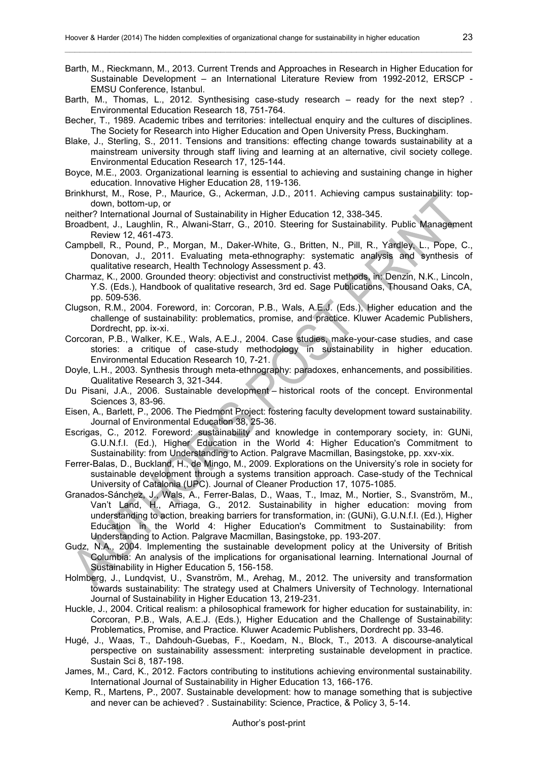<span id="page-22-9"></span>Barth, M., Rieckmann, M., 2013. Current Trends and Approaches in Research in Higher Education for Sustainable Development – an International Literature Review from 1992-2012, ERSCP -EMSU Conference, Istanbul.

*\_\_\_\_\_\_\_\_\_\_\_\_\_\_\_\_\_\_\_\_\_\_\_\_\_\_\_\_\_\_\_\_\_\_\_\_\_\_\_\_\_\_\_\_\_\_\_\_\_\_\_\_\_\_\_\_\_\_\_\_\_\_\_\_\_\_\_\_\_\_\_\_\_\_\_\_\_\_\_\_\_*

<span id="page-22-16"></span>Barth, M., Thomas, L., 2012. Synthesising case-study research – ready for the next step? . Environmental Education Research 18, 751-764.

<span id="page-22-11"></span>Becher, T., 1989. Academic tribes and territories: intellectual enquiry and the cultures of disciplines. The Society for Research into Higher Education and Open University Press, Buckingham.

- <span id="page-22-12"></span>Blake, J., Sterling, S., 2011. Tensions and transitions: effecting change towards sustainability at a mainstream university through staff living and learning at an alternative, civil society college. Environmental Education Research 17, 125-144.
- <span id="page-22-10"></span>Boyce, M.E., 2003. Organizational learning is essential to achieving and sustaining change in higher education. Innovative Higher Education 28, 119-136.
- <span id="page-22-22"></span>Brinkhurst, M., Rose, P., Maurice, G., Ackerman, J.D., 2011. Achieving campus sustainability: topdown, bottom-up, or
- neither? International Journal of Sustainability in Higher Education 12, 338-345.
- <span id="page-22-13"></span>Broadbent, J., Laughlin, R., Alwani-Starr, G., 2010. Steering for Sustainability. Public Management Review 12, 461-473.
- <span id="page-22-15"></span>Campbell, R., Pound, P., Morgan, M., Daker-White, G., Britten, N., Pill, R., Yardley, L., Pope, C., Donovan, J., 2011. Evaluating meta-ethnography: systematic analysis and synthesis of qualitative research, Health Technology Assessment p. 43.
- <span id="page-22-18"></span>Charmaz, K., 2000. Grounded theory: objectivist and constructivist methods, in: Denzin, N.K., Lincoln, Y.S. (Eds.), Handbook of qualitative research, 3rd ed. Sage Publications, Thousand Oaks, CA, pp. 509-536.
- <span id="page-22-4"></span>Clugson, R.M., 2004. Foreword, in: Corcoran, P.B., Wals, A.E.J. (Eds.), Higher education and the challenge of sustainability: problematics, promise, and practice. Kluwer Academic Publishers, Dordrecht, pp. ix-xi.
- <span id="page-22-8"></span>Corcoran, P.B., Walker, K.E., Wals, A.E.J., 2004. Case studies, make-your-case studies, and case stories: a critique of case-study methodology in sustainability in higher education. Environmental Education Research 10, 7-21.
- <span id="page-22-14"></span>Doyle, L.H., 2003. Synthesis through meta-ethnography: paradoxes, enhancements, and possibilities. Qualitative Research 3, 321-344.
- <span id="page-22-1"></span>Du Pisani, J.A., 2006. Sustainable development – historical roots of the concept. Environmental Sciences 3, 83-96.
- <span id="page-22-21"></span>Eisen, A., Barlett, P., 2006. The Piedmont Project: fostering faculty development toward sustainability. Journal of Environmental Education 38, 25-36.
- <span id="page-22-5"></span>Escrigas, C., 2012. Foreword: sustainability and knowledge in contemporary society, in: GUNi, G.U.N.f.I. (Ed.), Higher Education in the World 4: Higher Education's Commitment to Sustainability: from Understanding to Action. Palgrave Macmillan, Basingstoke, pp. xxv-xix.
- <span id="page-22-3"></span>Ferrer-Balas, D., Buckland, H., de Mingo, M., 2009. Explorations on the University's role in society for sustainable development through a systems transition approach. Case-study of the Technical University of Catalonia (UPC). Journal of Cleaner Production 17, 1075-1085.
- <span id="page-22-7"></span>Granados-Sánchez, J., Wals, A., Ferrer-Balas, D., Waas, T., Imaz, M., Nortier, S., Svanström, M., Van't Land, H., Arriaga, G., 2012. Sustainability in higher education: moving from understanding to action, breaking barriers for transformation, in: (GUNi), G.U.N.f.I. (Ed.), Higher Education in the World 4: Higher Education's Commitment to Sustainability: from Understanding to Action. Palgrave Macmillan, Basingstoke, pp. 193-207.
- <span id="page-22-19"></span>Gudz, N.A., 2004. Implementing the sustainable development policy at the University of British Columbia: An analysis of the implications for organisational learning. International Journal of Sustainability in Higher Education 5, 156-158.
- <span id="page-22-6"></span>Holmberg, J., Lundqvist, U., Svanström, M., Arehag, M., 2012. The university and transformation towards sustainability: The strategy used at Chalmers University of Technology. International Journal of Sustainability in Higher Education 13, 219-231.
- <span id="page-22-17"></span>Huckle, J., 2004. Critical realism: a philosophical framework for higher education for sustainability, in: Corcoran, P.B., Wals, A.E.J. (Eds.), Higher Education and the Challenge of Sustainability: Problematics, Promise, and Practice. Kluwer Academic Publishers, Dordrecht pp. 33-46.
- <span id="page-22-0"></span>Hugé, J., Waas, T., Dahdouh-Guebas, F., Koedam, N., Block, T., 2013. A discourse-analytical perspective on sustainability assessment: interpreting sustainable development in practice. Sustain Sci 8, 187-198.
- <span id="page-22-20"></span>James, M., Card, K., 2012. Factors contributing to institutions achieving environmental sustainability. International Journal of Sustainability in Higher Education 13, 166-176.
- <span id="page-22-2"></span>Kemp, R., Martens, P., 2007. Sustainable development: how to manage something that is subjective and never can be achieved? . Sustainability: Science, Practice, & Policy 3, 5-14.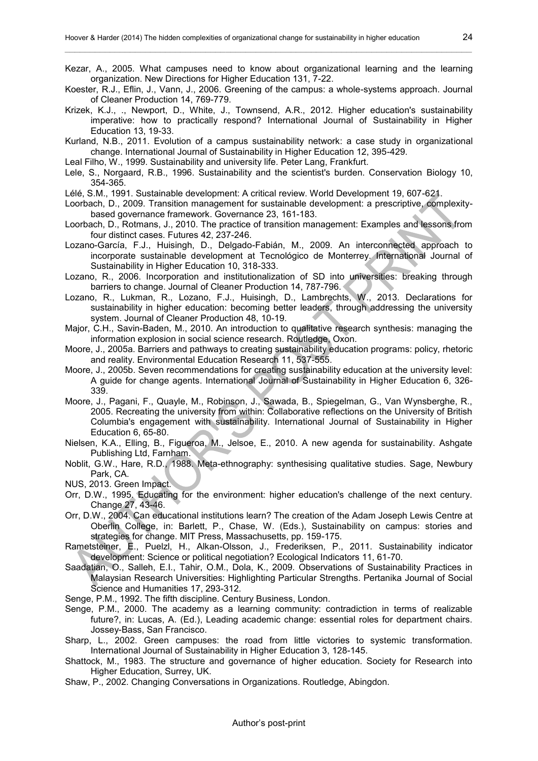<span id="page-23-15"></span>Kezar, A., 2005. What campuses need to know about organizational learning and the learning organization. New Directions for Higher Education 131, 7-22.

*\_\_\_\_\_\_\_\_\_\_\_\_\_\_\_\_\_\_\_\_\_\_\_\_\_\_\_\_\_\_\_\_\_\_\_\_\_\_\_\_\_\_\_\_\_\_\_\_\_\_\_\_\_\_\_\_\_\_\_\_\_\_\_\_\_\_\_\_\_\_\_\_\_\_\_\_\_\_\_\_\_*

- <span id="page-23-24"></span>Koester, R.J., Eflin, J., Vann, J., 2006. Greening of the campus: a whole-systems approach. Journal of Cleaner Production 14, 769-779.
- <span id="page-23-20"></span>Krizek, K.J., ., Newport, D., White, J., Townsend, A.R., 2012. Higher education's sustainability imperative: how to practically respond? International Journal of Sustainability in Higher Education 13, 19-33.

<span id="page-23-23"></span>Kurland, N.B., 2011. Evolution of a campus sustainability network: a case study in organizational change. International Journal of Sustainability in Higher Education 12, 395-429.

- <span id="page-23-7"></span>Leal Filho, W., 1999. Sustainability and university life. Peter Lang, Frankfurt.
- <span id="page-23-2"></span>Lele, S., Norgaard, R.B., 1996. Sustainability and the scientist's burden. Conservation Biology 10, 354-365.
- <span id="page-23-0"></span>Lélé, S.M., 1991. Sustainable development: A critical review. World Development 19, 607-621.
- <span id="page-23-17"></span>Loorbach, D., 2009. Transition management for sustainable development: a prescriptive, complexitybased governance framework. Governance 23, 161-183.
- <span id="page-23-26"></span>Loorbach, D., Rotmans, J., 2010. The practice of transition management: Examples and lessons from four distinct cases. Futures 42, 237-246.
- <span id="page-23-18"></span>Lozano-García, F.J., Huisingh, D., Delgado-Fabián, M., 2009. An interconnected approach to incorporate sustainable development at Tecnológico de Monterrey. International Journal of Sustainability in Higher Education 10, 318-333.
- <span id="page-23-9"></span>Lozano, R., 2006. Incorporation and institutionalization of SD into universities: breaking through barriers to change. Journal of Cleaner Production 14, 787-796.
- <span id="page-23-4"></span>Lozano, R., Lukman, R., Lozano, F.J., Huisingh, D., Lambrechts, W., 2013. Declarations for sustainability in higher education: becoming better leaders, through addressing the university system. Journal of Cleaner Production 48, 10-19.
- <span id="page-23-21"></span>Major, C.H., Savin-Baden, M., 2010. An introduction to qualitative research synthesis: managing the information explosion in social science research. Routledge, Oxon.
- <span id="page-23-8"></span>Moore, J., 2005a. Barriers and pathways to creating sustainability education programs: policy, rhetoric and reality. Environmental Education Research 11, 537-555.
- <span id="page-23-10"></span>Moore, J., 2005b. Seven recommendations for creating sustainability education at the university level: A guide for change agents. International Journal of Sustainability in Higher Education 6, 326- 339.
- <span id="page-23-22"></span>Moore, J., Pagani, F., Quayle, M., Robinson, J., Sawada, B., Spiegelman, G., Van Wynsberghe, R., 2005. Recreating the university from within: Collaborative reflections on the University of British Columbia's engagement with sustainability. International Journal of Sustainability in Higher Education 6, 65-80.
- <span id="page-23-1"></span>Nielsen, K.A., Elling, B., Figueroa, M., Jelsoe, E., 2010. A new agenda for sustainability. Ashgate Publishing Ltd, Farnham.
- <span id="page-23-11"></span>Noblit, G.W., Hare, R.D., 1988. Meta-ethnography: synthesising qualitative studies. Sage, Newbury Park, CA.
- <span id="page-23-25"></span>NUS, 2013. Green Impact.
- <span id="page-23-6"></span>Orr, D.W., 1995. Educating for the environment: higher education's challenge of the next century. Change 27, 43-46.
- <span id="page-23-16"></span>Orr, D.W., 2004. Can educational institutions learn? The creation of the Adam Joseph Lewis Centre at Oberlin College, in: Barlett, P., Chase, W. (Eds.), Sustainability on campus: stories and strategies for change. MIT Press, Massachusetts, pp. 159-175.
- <span id="page-23-3"></span>Rametsteiner, E., Puelzl, H., Alkan-Olsson, J., Frederiksen, P., 2011. Sustainability indicator development: Science or political negotiation? Ecological Indicators 11, 61-70.
- <span id="page-23-19"></span>Saadatian, O., Salleh, E.I., Tahir, O.M., Dola, K., 2009. Observations of Sustainability Practices in Malaysian Research Universities: Highlighting Particular Strengths. Pertanika Journal of Social Science and Humanities 17, 293-312.
- <span id="page-23-13"></span>Senge, P.M., 1992. The fifth discipline. Century Business, London.
- <span id="page-23-14"></span>Senge, P.M., 2000. The academy as a learning community: contradiction in terms of realizable future?, in: Lucas, A. (Ed.), Leading academic change: essential roles for department chairs. Jossey-Bass, San Francisco.
- <span id="page-23-5"></span>Sharp, L., 2002. Green campuses: the road from little victories to systemic transformation. International Journal of Sustainability in Higher Education 3, 128-145.
- <span id="page-23-12"></span>Shattock, M., 1983. The structure and governance of higher education. Society for Research into Higher Education, Surrey, UK.
- <span id="page-23-27"></span>Shaw, P., 2002. Changing Conversations in Organizations. Routledge, Abingdon.